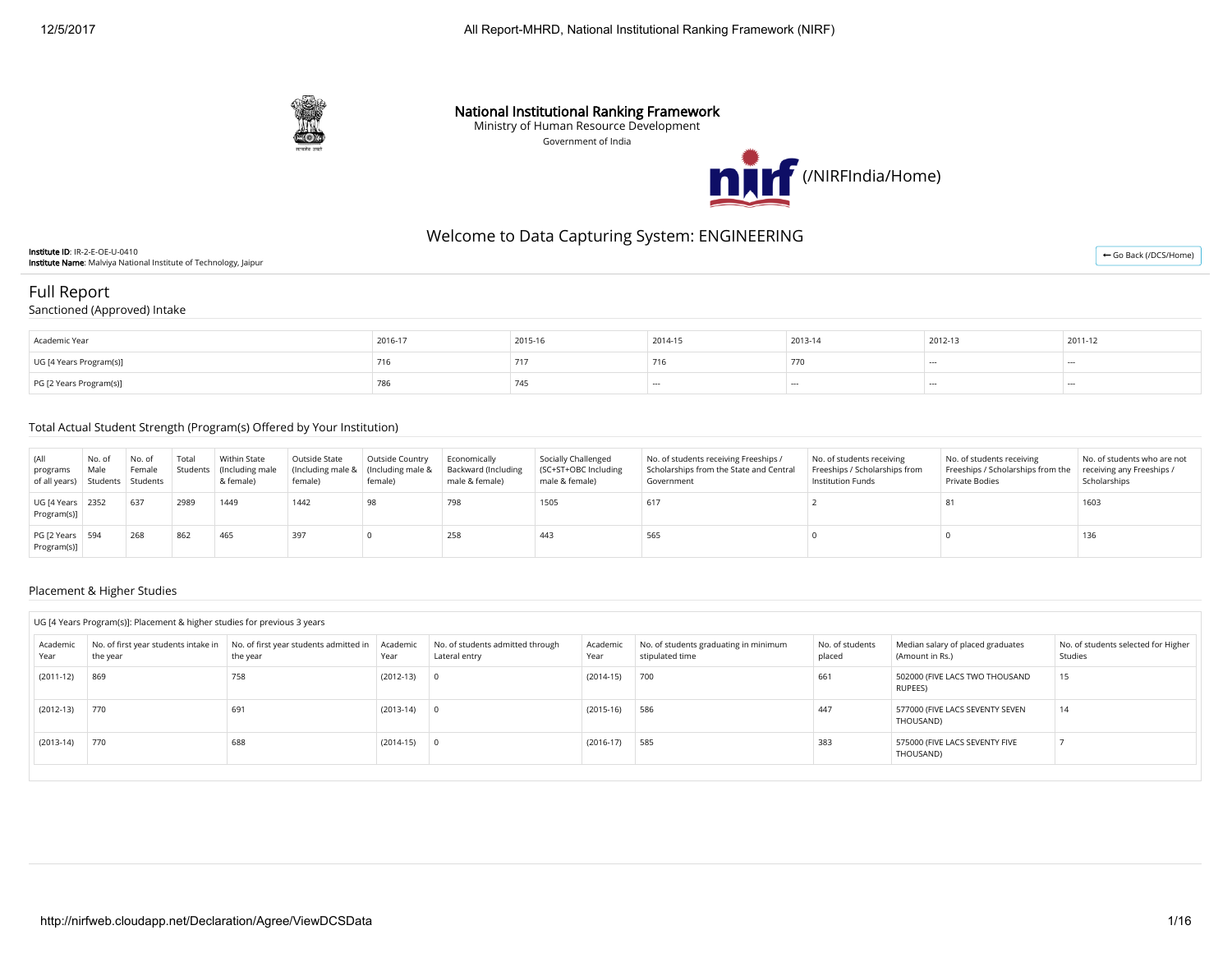

### National Institutional Ranking Framework

Ministry of Human Resource Development

Government of India



# Welcome to Data Capturing System: ENGINEERING

Institute ID: IR-2-E-OE-U-0410 Institute Name: Malviya National Institute of Technology, Jaipur

# Full Report

### Sanctioned (Approved) Intake

| Academic Year           | 2016-17 | 2015-16 | 2014-15 | 2013-14 | 2012-13 | 2011-12 |
|-------------------------|---------|---------|---------|---------|---------|---------|
| UG [4 Years Program(s)] | / Ib    |         | 10      |         | $\sim$  | $- - -$ |
| PG [2 Years Program(s)] | 786     | 745     | $- - -$ | $- - -$ |         | $- - -$ |

#### Total Actual Student Strength (Program(s) Offered by Your Institution)

| (All<br>programs<br>of all years) Students Students | No. of<br>Male | No. of<br>Female | Total | Within State<br>Students (Including male<br>& female) | Outside State<br>female) | Outside Country<br>(Including male & (Including male &<br>female) | Economically<br><b>Backward (Including</b><br>male & female) | Socially Challenged<br>(SC+ST+OBC Including<br>male & female) | No. of students receiving Freeships /<br>Scholarships from the State and Central<br>Government | No. of students receiving<br>Freeships / Scholarships from<br>Institution Funds | No. of students receiving<br>Freeships / Scholarships from the<br>Private Bodies | No. of students who are not<br>receiving any Freeships /<br>Scholarships |
|-----------------------------------------------------|----------------|------------------|-------|-------------------------------------------------------|--------------------------|-------------------------------------------------------------------|--------------------------------------------------------------|---------------------------------------------------------------|------------------------------------------------------------------------------------------------|---------------------------------------------------------------------------------|----------------------------------------------------------------------------------|--------------------------------------------------------------------------|
| UG [4 Years   2352<br>Program(s)]                   |                | 637              | 2989  | 1449                                                  | 1442                     | 98                                                                | 798                                                          | 1505                                                          | 617                                                                                            |                                                                                 |                                                                                  | 1603                                                                     |
| PG [2 Years 594<br>Program(s)]                      |                | 268              | 862   | 465                                                   | 397                      |                                                                   | 258                                                          | 443                                                           | 565                                                                                            |                                                                                 |                                                                                  | 136                                                                      |

#### Placement & Higher Studies

#### UG [4 Years Program(s)]: Placement & higher studies for previous 3 years

| Academic<br>Year | No. of first year students intake in<br>the year | No. of first year students admitted in Academic<br>the year | Year        | No. of students admitted through<br>Lateral entry | Academic<br>Year | No. of students graduating in minimum<br>stipulated time | No. of students<br>placed | Median salary of placed graduates<br>(Amount in Rs.) | No. of students selected for Higher<br>Studies |
|------------------|--------------------------------------------------|-------------------------------------------------------------|-------------|---------------------------------------------------|------------------|----------------------------------------------------------|---------------------------|------------------------------------------------------|------------------------------------------------|
| $(2011-12)$      | 869                                              | 758                                                         | $(2012-13)$ |                                                   | $(2014-15)$      | 700                                                      | 661                       | 502000 (FIVE LACS TWO THOUSAND<br>RUPEES)            | 15                                             |
| $(2012-13)$      | 770                                              | 691                                                         | (2013-14)   |                                                   | $(2015-16)$      | 586                                                      | 447                       | 577000 (FIVE LACS SEVENTY SEVEN<br>THOUSAND)         | 14                                             |
| $(2013-14)$      | 770                                              | 688                                                         | $(2014-15)$ |                                                   | $(2016-17)$      | 585                                                      | 383                       | 575000 (FIVE LACS SEVENTY FIVE<br>THOUSAND)          |                                                |

← [Go Back \(/DCS/Home\)](http://nirfweb.cloudapp.net/DCS/Home)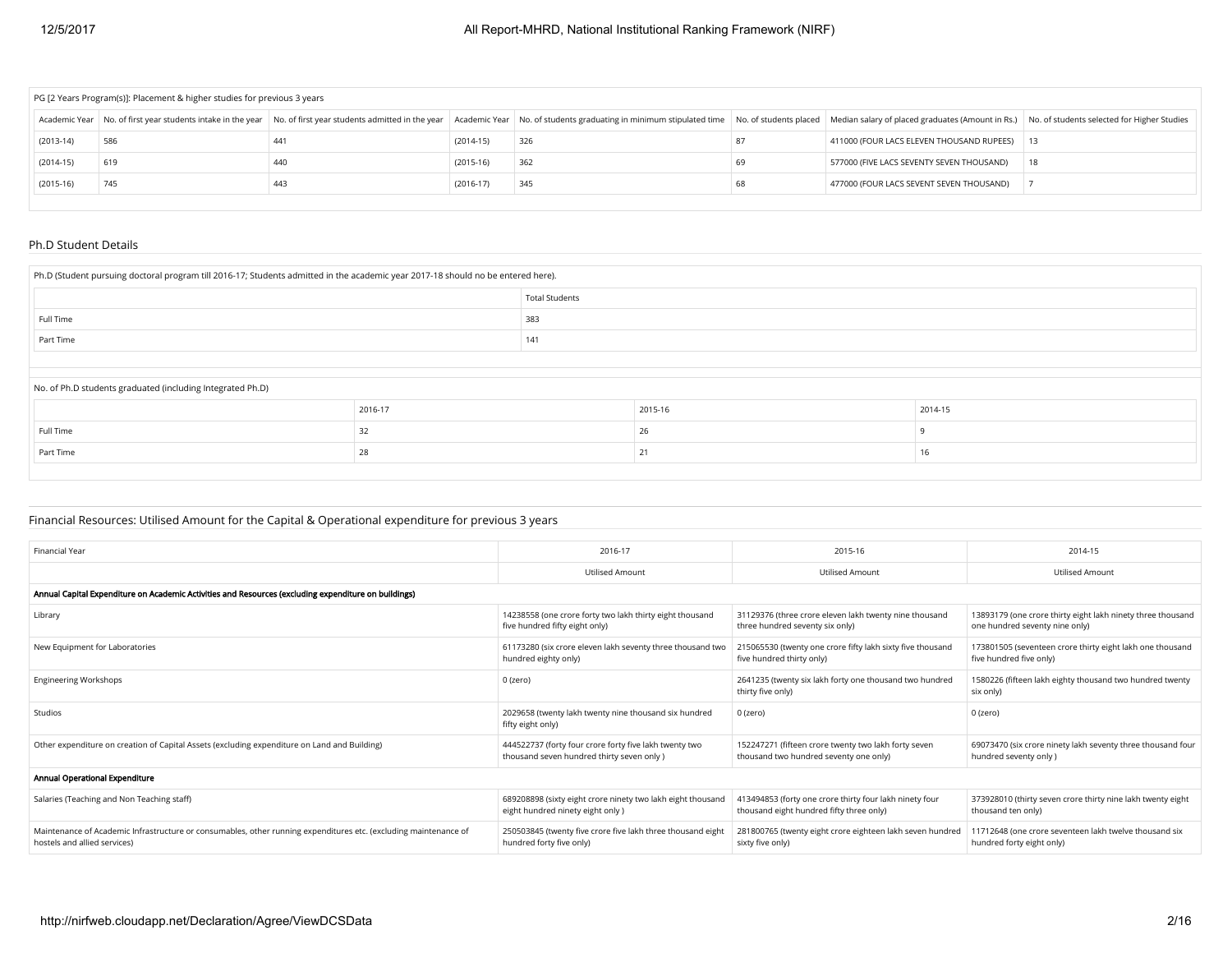| PG [2 Years Program(s)]: Placement & higher studies for previous 3 years |     |     |             |                                                                                                                                                                                                                                |    |                                              |    |  |  |
|--------------------------------------------------------------------------|-----|-----|-------------|--------------------------------------------------------------------------------------------------------------------------------------------------------------------------------------------------------------------------------|----|----------------------------------------------|----|--|--|
|                                                                          |     |     |             | Academic Year   No. of first year students intake in the year   No. of first year students admitted in the year   Academic Year   No. of students graduating in minimum stipulated time   No. of students placed   Median sala |    |                                              |    |  |  |
| $(2013-14)$                                                              | 586 | 441 | $(2014-15)$ | 326                                                                                                                                                                                                                            |    | 411000 (FOUR LACS ELEVEN THOUSAND RUPEES) 13 |    |  |  |
| $(2014-15)$                                                              | 619 | 440 | $(2015-16)$ | 362                                                                                                                                                                                                                            | 69 | 577000 (FIVE LACS SEVENTY SEVEN THOUSAND)    | 18 |  |  |
| $(2015-16)$                                                              | 745 | 443 | $(2016-17)$ | 345                                                                                                                                                                                                                            | 68 | 477000 (FOUR LACS SEVENT SEVEN THOUSAND)     |    |  |  |
|                                                                          |     |     |             |                                                                                                                                                                                                                                |    |                                              |    |  |  |

#### Ph.D Student Details

| Ph.D (Student pursuing doctoral program till 2016-17; Students admitted in the academic year 2017-18 should no be entered here). |         |                       |         |         |  |  |  |  |
|----------------------------------------------------------------------------------------------------------------------------------|---------|-----------------------|---------|---------|--|--|--|--|
|                                                                                                                                  |         | <b>Total Students</b> |         |         |  |  |  |  |
| Full Time                                                                                                                        |         | 383                   |         |         |  |  |  |  |
| Part Time                                                                                                                        |         | 141                   |         |         |  |  |  |  |
|                                                                                                                                  |         |                       |         |         |  |  |  |  |
| No. of Ph.D students graduated (including Integrated Ph.D)                                                                       |         |                       |         |         |  |  |  |  |
|                                                                                                                                  | 2016-17 |                       | 2015-16 | 2014-15 |  |  |  |  |
| Full Time                                                                                                                        | 32      |                       | 26      |         |  |  |  |  |
| Part Time                                                                                                                        | 28      |                       | 21      | 16      |  |  |  |  |

## Financial Resources: Utilised Amount for the Capital & Operational expenditure for previous 3 years

| 2016-17                                                                                              | 2015-16                                                                                             | 2014-15                                                                                       |
|------------------------------------------------------------------------------------------------------|-----------------------------------------------------------------------------------------------------|-----------------------------------------------------------------------------------------------|
| <b>Utilised Amount</b>                                                                               | <b>Utilised Amount</b>                                                                              | <b>Utilised Amount</b>                                                                        |
|                                                                                                      |                                                                                                     |                                                                                               |
| 14238558 (one crore forty two lakh thirty eight thousand<br>five hundred fifty eight only)           | 31129376 (three crore eleven lakh twenty nine thousand<br>three hundred seventy six only)           | 13893179 (one crore thirty eight lakh ninety three thousand<br>one hundred seventy nine only) |
| 61173280 (six crore eleven lakh seventy three thousand two<br>hundred eighty only)                   | 215065530 (twenty one crore fifty lakh sixty five thousand<br>five hundred thirty only)             | 173801505 (seventeen crore thirty eight lakh one thousand<br>five hundred five only)          |
| 0 (zero)                                                                                             | 2641235 (twenty six lakh forty one thousand two hundred<br>thirty five only)                        | 1580226 (fifteen lakh eighty thousand two hundred twenty<br>six only)                         |
| 2029658 (twenty lakh twenty nine thousand six hundred<br>fifty eight only)                           | 0 (zero)                                                                                            | 0 (zero)                                                                                      |
| 444522737 (forty four crore forty five lakh twenty two<br>thousand seven hundred thirty seven only ) | 152247271 (fifteen crore twenty two lakh forty seven<br>thousand two hundred seventy one only)      | 69073470 (six crore ninety lakh seventy three thousand four<br>hundred seventy only )         |
|                                                                                                      |                                                                                                     |                                                                                               |
| 689208898 (sixty eight crore ninety two lakh eight thousand<br>eight hundred ninety eight only)      | 413494853 (forty one crore thirty four lakh ninety four<br>thousand eight hundred fifty three only) | 373928010 (thirty seven crore thirty nine lakh twenty eight<br>thousand ten only)             |
| 250503845 (twenty five crore five lakh three thousand eight<br>hundred forty five only)              | 281800765 (twenty eight crore eighteen lakh seven hundred<br>sixty five only)                       | 11712648 (one crore seventeen lakh twelve thousand six<br>hundred forty eight only)           |
|                                                                                                      |                                                                                                     |                                                                                               |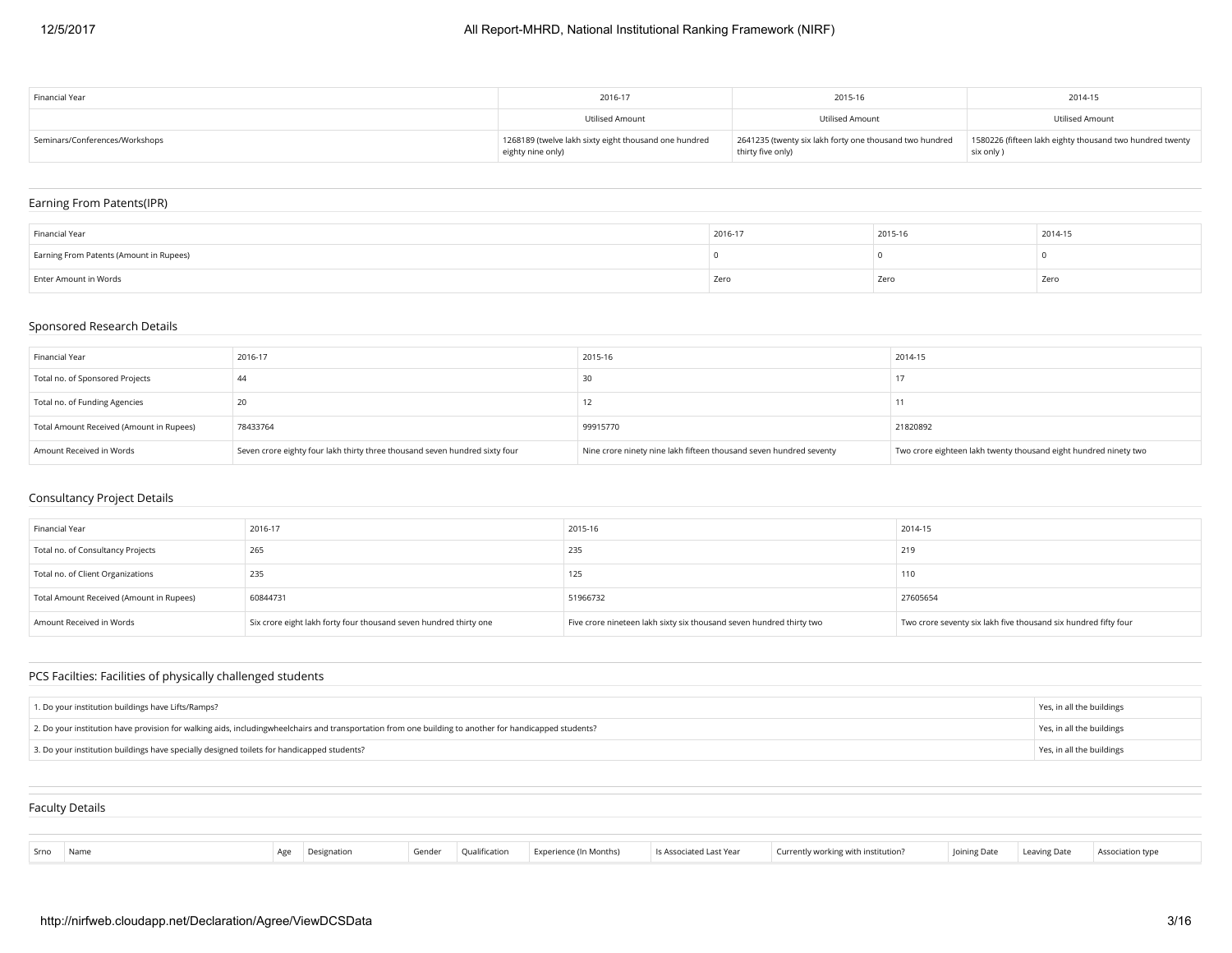| Financial Year                 | 2016-17                                                                    | 2015-16                                                                      | 2014-15                                                               |
|--------------------------------|----------------------------------------------------------------------------|------------------------------------------------------------------------------|-----------------------------------------------------------------------|
|                                | Utilised Amount                                                            | Utilised Amount                                                              | Utilised Amount                                                       |
| Seminars/Conferences/Workshops | 1268189 (twelve lakh sixty eight thousand one hundred<br>eighty nine only) | 2641235 (twenty six lakh forty one thousand two hundred<br>thirty five only) | 1580226 (fifteen lakh eighty thousand two hundred twenty<br>six only) |

## Earning From Patents(IPR)

| Financial Year                          | 2016-17 | 2015-16 | 2014-15 |
|-----------------------------------------|---------|---------|---------|
| Earning From Patents (Amount in Rupees) |         |         |         |
| Enter Amount in Words                   | Zero    | Zero    | Zero    |

## Sponsored Research Details

| Financial Year                           | 2016-17                                                                     | 2015-16                                                            | 2014-15                                                          |
|------------------------------------------|-----------------------------------------------------------------------------|--------------------------------------------------------------------|------------------------------------------------------------------|
| Total no. of Sponsored Projects          | 44                                                                          |                                                                    |                                                                  |
| Total no. of Funding Agencies            |                                                                             |                                                                    |                                                                  |
| Total Amount Received (Amount in Rupees) | 78433764                                                                    | 99915770                                                           | 21820892                                                         |
| Amount Received in Words                 | Seven crore eighty four lakh thirty three thousand seven hundred sixty four | Nine crore ninety nine lakh fifteen thousand seven hundred seventy | Two crore eighteen lakh twenty thousand eight hundred ninety two |

## Consultancy Project Details

| Financial Year                           | 2016-17                                                           | 2015-16                                                              | 2014-15                                                         |
|------------------------------------------|-------------------------------------------------------------------|----------------------------------------------------------------------|-----------------------------------------------------------------|
| Total no. of Consultancy Projects        | 265                                                               | 235                                                                  | 219                                                             |
| Total no. of Client Organizations        | 235                                                               | 125                                                                  | 110                                                             |
| Total Amount Received (Amount in Rupees) | 60844731                                                          | 51966732                                                             | 27605654                                                        |
| Amount Received in Words                 | Six crore eight lakh forty four thousand seven hundred thirty one | Five crore nineteen lakh sixty six thousand seven hundred thirty two | Two crore seventy six lakh five thousand six hundred fifty four |

## PCS Facilties: Facilities of physically challenged students

| 1. Do your institution buildings have Lifts/Ramps?                                                                                                     | Yes, in all the buildings |
|--------------------------------------------------------------------------------------------------------------------------------------------------------|---------------------------|
| 2. Do your institution have provision for walking aids, includingwheelchairs and transportation from one building to another for handicapped students? | Yes, in all the buildings |
| 3. Do your institution buildings have specially designed toilets for handicapped students?                                                             | Yes, in all the buildings |

| <b>Faculty Details</b> |  |  |  |
|------------------------|--|--|--|
|                        |  |  |  |
|                        |  |  |  |

| Gender Qualification Experience (In Months) Is Associated Last Year Currently working with institution? Joining Date Leaving Date Association type<br>Srno Name<br>Age Designation |  |  |
|------------------------------------------------------------------------------------------------------------------------------------------------------------------------------------|--|--|
|------------------------------------------------------------------------------------------------------------------------------------------------------------------------------------|--|--|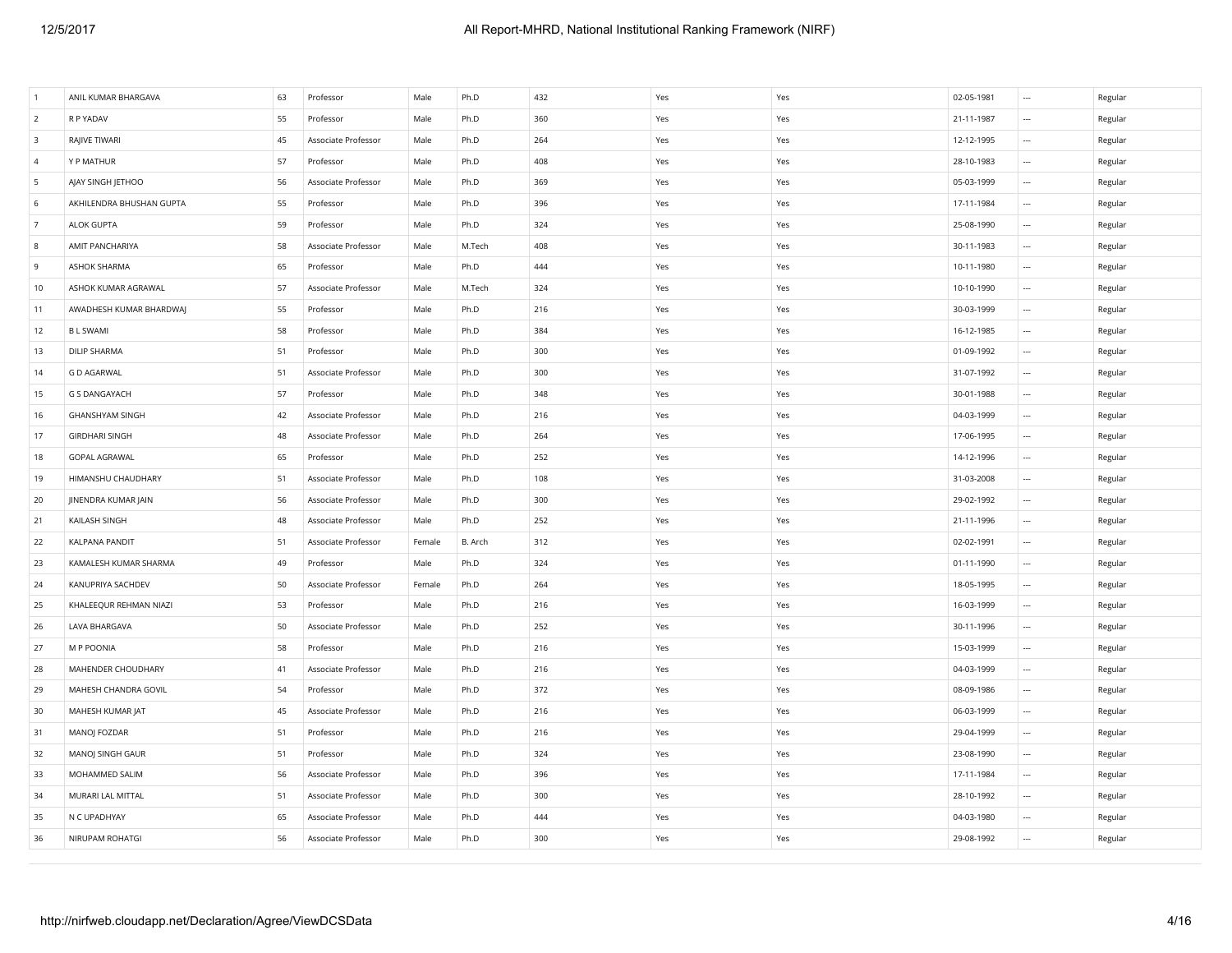| R P YADAV<br>360<br>$\overline{2}$<br>55<br>Professor<br>Male<br>Ph.D<br>Yes<br>Yes<br>21-11-1987<br>$\cdots$<br>RAJIVE TIWARI<br>264<br>$\overline{\mathbf{3}}$<br>45<br>Associate Professor<br>Male<br>Ph.D<br>Yes<br>Yes<br>12-12-1995<br>$\ldots$ | Regular<br>Regular<br>Regular |
|-------------------------------------------------------------------------------------------------------------------------------------------------------------------------------------------------------------------------------------------------------|-------------------------------|
|                                                                                                                                                                                                                                                       |                               |
|                                                                                                                                                                                                                                                       |                               |
| Y P MATHUR<br>57<br>408<br>28-10-1983<br>$\overline{4}$<br>Professor<br>Male<br>Ph.D<br>Yes<br>Yes<br>$\sim$                                                                                                                                          |                               |
| 5<br>AJAY SINGH JETHOO<br>Associate Professor<br>369<br>05-03-1999<br>56<br>Male<br>Ph.D<br>Yes<br>Yes<br>$\ldots$                                                                                                                                    | Regular                       |
| 55<br>396<br>6<br>AKHILENDRA BHUSHAN GUPTA<br>Professor<br>Male<br>Ph.D<br>Yes<br>17-11-1984<br>Yes<br>$\cdots$                                                                                                                                       | Regular                       |
| 59<br>Ph.D<br>324<br>25-08-1990<br>$\overline{7}$<br>ALOK GUPTA<br>Professor<br>Male<br>Yes<br>Yes<br>$\ldots$                                                                                                                                        | Regular                       |
| 408<br>30-11-1983<br>8<br>AMIT PANCHARIYA<br>58<br>Associate Professor<br>Male<br>M.Tech<br>Yes<br>Yes<br>$\overline{\phantom{a}}$                                                                                                                    | Regular                       |
| 65<br>444<br>10-11-1980<br>9<br>ASHOK SHARMA<br>Professor<br>Male<br>Ph.D<br>Yes<br>Yes<br>$\sim$                                                                                                                                                     | Regular                       |
| 57<br>10-10-1990<br>10<br>ASHOK KUMAR AGRAWAL<br>Associate Professor<br>Male<br>M.Tech<br>324<br>Yes<br>Yes<br>$\sim$                                                                                                                                 | Regular                       |
| 11<br>AWADHESH KUMAR BHARDWAJ<br>55<br>Professor<br>Male<br>Ph.D<br>216<br>Yes<br>Yes<br>30-03-1999<br>$\sim$                                                                                                                                         | Regular                       |
| 12<br><b>BL SWAMI</b><br>58<br>Professor<br>Male<br>Ph.D<br>384<br>Yes<br>Yes<br>16-12-1985<br>$\sim$                                                                                                                                                 | Regular                       |
| <b>DILIP SHARMA</b><br>51<br>300<br>13<br>Professor<br>Male<br>Ph.D<br>Yes<br>Yes<br>01-09-1992<br>$\sim$                                                                                                                                             | Regular                       |
| 300<br><b>G D AGARWAL</b><br>51<br>Male<br>Ph.D<br>Yes<br>Yes<br>31-07-1992<br>14<br>Associate Professor<br>$\sim$                                                                                                                                    | Regular                       |
| <b>G S DANGAYACH</b><br>57<br>Professor<br>Male<br>Ph.D<br>348<br>Yes<br>Yes<br>30-01-1988<br>15<br>$\overline{\phantom{a}}$                                                                                                                          | Regular                       |
| <b>GHANSHYAM SINGH</b><br>42<br>Associate Professor<br>Male<br>Ph.D<br>216<br>Yes<br>Yes<br>04-03-1999<br>16<br>$\sim$                                                                                                                                | Regular                       |
| 17<br><b>GIRDHARI SINGH</b><br>48<br>Associate Professor<br>Male<br>Ph.D<br>264<br>Yes<br>Yes<br>17-06-1995<br>$\sim$                                                                                                                                 | Regular                       |
| 252<br>GOPAL AGRAWAL<br>65<br>Professor<br>Male<br>Ph.D<br>Yes<br>Yes<br>14-12-1996<br>18<br>$\cdots$                                                                                                                                                 | Regular                       |
| HIMANSHU CHAUDHARY<br>51<br>Associate Professor<br>Male<br>Ph.D<br>108<br>Yes<br>Yes<br>31-03-2008<br>19<br>$\sim$                                                                                                                                    | Regular                       |
| JINENDRA KUMAR JAIN<br>56<br>Associate Professor<br>Male<br>Ph.D<br>300<br>Yes<br>Yes<br>29-02-1992<br>$\sim$<br>20                                                                                                                                   | Regular                       |
| 252<br>KAILASH SINGH<br>48<br>Associate Professor<br>Male<br>Ph.D<br>Yes<br>Yes<br>21-11-1996<br>21<br>$\ldots$                                                                                                                                       | Regular                       |
| 22<br>KALPANA PANDIT<br>51<br>Associate Professor<br>B. Arch<br>312<br>Yes<br>02-02-1991<br>Female<br>Yes<br>$\cdots$                                                                                                                                 | Regular                       |
| KAMALESH KUMAR SHARMA<br>49<br>Professor<br>Male<br>Ph.D<br>324<br>Yes<br>Yes<br>01-11-1990<br>23<br>$\overline{\phantom{a}}$                                                                                                                         | Regular                       |
| KANUPRIYA SACHDEV<br>50<br>Associate Professor<br>Ph.D<br>264<br>Yes<br>Yes<br>18-05-1995<br>24<br>Female<br>$\overline{\phantom{a}}$                                                                                                                 | Regular                       |
| 53<br>16-03-1999<br>KHALEEQUR REHMAN NIAZI<br>Professor<br>Male<br>Ph.D<br>216<br>Yes<br>Yes<br>25<br>$\cdots$                                                                                                                                        | Regular                       |
| 26<br>LAVA BHARGAVA<br>50<br>Associate Professor<br>Male<br>Ph.D<br>252<br>Yes<br>Yes<br>30-11-1996<br>$\sim$                                                                                                                                         | Regular                       |
| 27<br>M P POONIA<br>58<br>Professor<br>Male<br>Ph.D<br>216<br>Yes<br>Yes<br>15-03-1999<br>$\sim$                                                                                                                                                      | Regular                       |
| MAHENDER CHOUDHARY<br>41<br>Associate Professor<br>Male<br>Ph.D<br>216<br>Yes<br>Yes<br>04-03-1999<br>$\overline{\phantom{a}}$<br>28                                                                                                                  | Regular                       |
| 372<br>08-09-1986<br>MAHESH CHANDRA GOVIL<br>54<br>Professor<br>Ph.D<br>Yes<br>Yes<br>29<br>Male<br>$\cdots$                                                                                                                                          | Regular                       |
| 30<br>MAHESH KUMAR JAT<br>45<br>Associate Professor<br>Male<br>Ph.D<br>216<br>Yes<br>Yes<br>06-03-1999<br>$\sim$                                                                                                                                      | Regular                       |
| MANOJ FOZDAR<br>51<br>Professor<br>Ph.D<br>216<br>Yes<br>Yes<br>29-04-1999<br>31<br>Male<br>$\sim$                                                                                                                                                    | Regular                       |
| 32<br>MANOJ SINGH GAUR<br>51<br>Professor<br>Male<br>Ph.D<br>324<br>Yes<br>Yes<br>23-08-1990<br>$\overline{\phantom{a}}$                                                                                                                              | Regular                       |
| MOHAMMED SALIM<br>56<br>Associate Professor<br>Ph.D<br>396<br>Yes<br>Yes<br>17-11-1984<br>33<br>Male<br>$\sim$                                                                                                                                        | Regular                       |
| 34<br>MURARI LAL MITTAL<br>51<br>Associate Professor<br>Male<br>Ph.D<br>300<br>Yes<br>Yes<br>28-10-1992<br>$\ldots$                                                                                                                                   | Regular                       |
| N C UPADHYAY<br>65<br>Ph.D<br>444<br>Yes<br>04-03-1980<br>35<br>Associate Professor<br>Male<br>Yes<br>$\overline{\phantom{a}}$                                                                                                                        | Regular                       |
| NIRUPAM ROHATGI<br>56<br>Associate Professor<br>Male<br>Ph.D<br>300<br>Yes<br>29-08-1992<br>36<br>Yes<br>$\overline{\phantom{a}}$                                                                                                                     | Regular                       |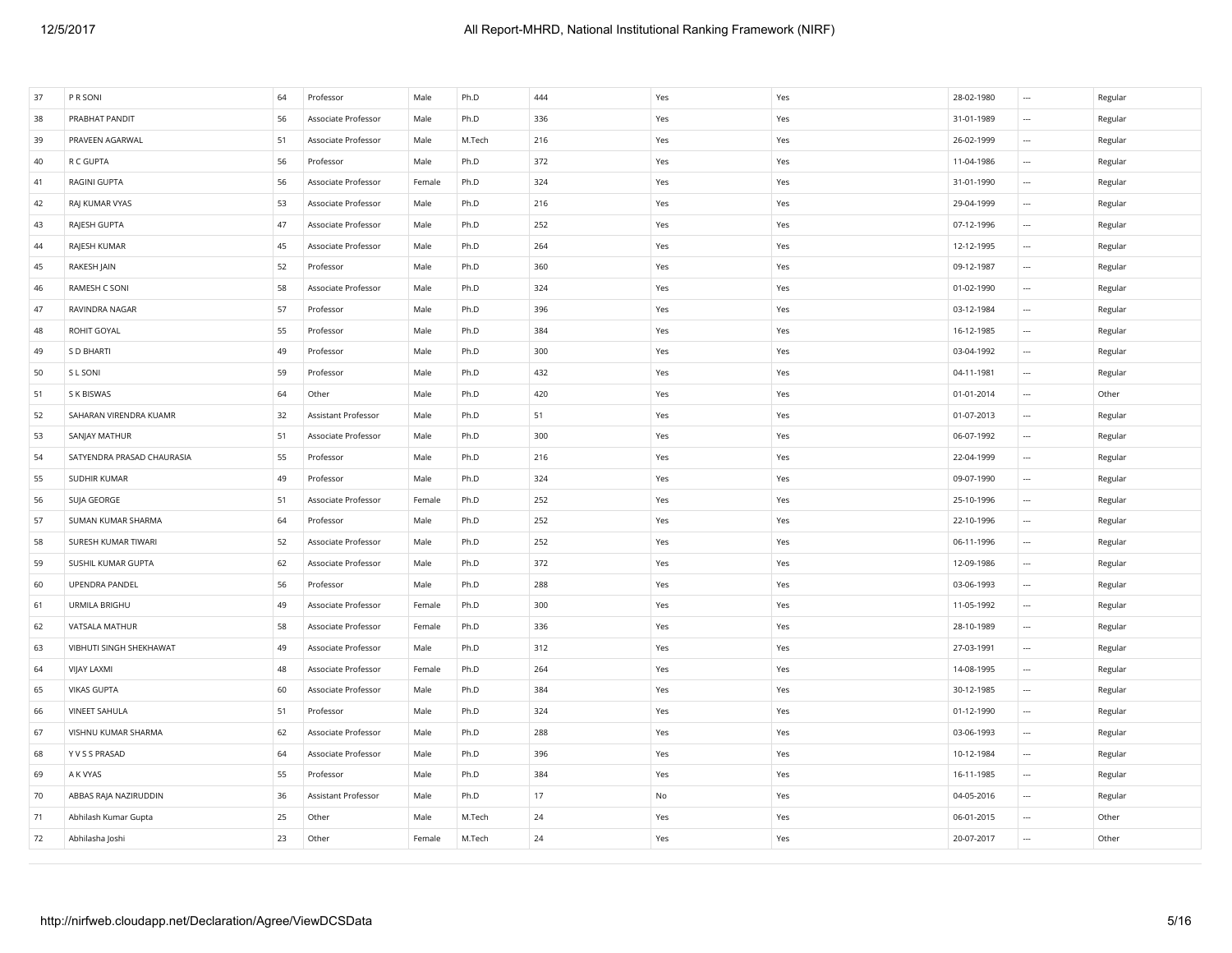| PRABHAT PANDIT<br>56<br>Associate Professor<br>Male<br>Ph.D<br>336<br>Yes<br>Yes<br>31-01-1989<br>Regular<br>$\cdots$<br>51<br>216<br>PRAVEEN AGARWAL<br>Associate Professor<br>Male<br>M.Tech<br>Yes<br>Yes<br>26-02-1999<br>$\ldots$<br>Regular<br>56<br>Professor<br>372<br>Yes<br>11-04-1986<br>R C GUPTA<br>Male<br>Ph.D<br>Yes<br>$\ldots$<br>Regular<br>RAGINI GUPTA<br>56<br>Associate Professor<br>324<br>31-01-1990<br>Regular<br>Female<br>Ph.D<br>Yes<br>Yes<br>$\ldots$<br>RAJ KUMAR VYAS<br>53<br>Associate Professor<br>Ph.D<br>216<br>Yes<br>Yes<br>29-04-1999<br>Regular<br>Male<br>$\overline{\phantom{a}}$<br>47<br>252<br>RAJESH GUPTA<br>Associate Professor<br>Male<br>Ph.D<br>Yes<br>Yes<br>07-12-1996<br>$\ldots$<br>Regular<br>RAJESH KUMAR<br>264<br>45<br>Associate Professor<br>Male<br>Ph.D<br>12-12-1995<br>Regular<br>Yes<br>Yes<br>$\cdots$<br>RAKESH JAIN<br>52<br>360<br>09-12-1987<br>Professor<br>Male<br>Ph.D<br>Yes<br>Yes<br>$\ldots$<br>Regular<br>RAMESH C SONI<br>58<br>Associate Professor<br>Male<br>Ph.D<br>324<br>01-02-1990<br>Regular<br>Yes<br>Yes<br>$\ldots$<br>57<br>396<br>03-12-1984<br>RAVINDRA NAGAR<br>Professor<br>Male<br>Ph.D<br>Yes<br>Yes<br>Regular<br>$\ldots$<br>55<br>ROHIT GOYAL<br>Professor<br>Male<br>Ph.D<br>384<br>Yes<br>16-12-1985<br>Regular<br>Yes<br>$\cdots$<br>49<br>S D BHARTI<br>Professor<br>Male<br>Ph.D<br>300<br>Yes<br>Yes<br>03-04-1992<br>Regular<br>$\cdots$<br>S L SONI<br>59<br>Ph.D<br>432<br>04-11-1981<br>Regular<br>Professor<br>Male<br>Yes<br>Yes<br>$\cdots$<br>420<br>S K BISWAS<br>64<br>Other<br>Ph.D<br>01-01-2014<br>Other<br>Male<br>Yes<br>Yes<br>$\ldots$<br>SAHARAN VIRENDRA KUAMR<br>51<br>Regular<br>32<br>Assistant Professor<br>Male<br>Ph.D<br>Yes<br>Yes<br>01-07-2013<br>$\ldots$<br>SANJAY MATHUR<br>51<br>Associate Professor<br>Male<br>Ph.D<br>300<br>Yes<br>Yes<br>06-07-1992<br>Regular<br>$\cdots$<br>55<br>SATYENDRA PRASAD CHAURASIA<br>Professor<br>Male<br>Ph.D<br>216<br>Yes<br>Yes<br>22-04-1999<br>$\ldots$<br>Regular<br>49<br>Ph.D<br>324<br>SUDHIR KUMAR<br>Professor<br>Male<br>Yes<br>Yes<br>09-07-1990<br>$\sim$<br>Regular<br>51<br>252<br>SUJA GEORGE<br>Associate Professor<br>Female<br>Ph.D<br>Yes<br>Yes<br>25-10-1996<br>$\sim$<br>Regular<br>SUMAN KUMAR SHARMA<br>64<br>Professor<br>Male<br>Ph.D<br>252<br>Yes<br>Yes<br>22-10-1996<br>Regular<br>$\ldots$<br>252<br>SURESH KUMAR TIWARI<br>52<br>Associate Professor<br>Male<br>Ph.D<br>Yes<br>Yes<br>06-11-1996<br>Regular<br>$\ldots$<br>62<br>372<br>SUSHIL KUMAR GUPTA<br>Associate Professor<br>Male<br>Ph.D<br>12-09-1986<br>Regular<br>Yes<br>Yes<br>$\ldots$<br>288<br>UPENDRA PANDEL<br>56<br>Professor<br>Male<br>Ph.D<br>Yes<br>Yes<br>03-06-1993<br>$\ldots$<br>Regular<br>URMILA BRIGHU<br>49<br>Associate Professor<br>Ph.D<br>300<br>11-05-1992<br>Regular<br>Female<br>Yes<br>Yes<br>$\ldots$<br>58<br>336<br>28-10-1989<br>VATSALA MATHUR<br>Associate Professor<br>Ph.D<br>Yes<br>Yes<br>Regular<br>Female<br>$\ldots$<br>27-03-1991<br>VIBHUTI SINGH SHEKHAWAT<br>49<br>Associate Professor<br>Ph.D<br>312<br>Yes<br>Regular<br>Male<br>Yes<br>$\ldots$<br><b>VIJAY LAXMI</b><br>48<br>Associate Professor<br>Female<br>Ph.D<br>264<br>Yes<br>Yes<br>14-08-1995<br>Regular<br>$\cdots$<br><b>VIKAS GUPTA</b><br>60<br>Ph.D<br>384<br>30-12-1985<br>Regular<br>Associate Professor<br>Male<br>Yes<br>Yes<br>$\cdots$<br><b>VINEET SAHULA</b><br>51<br>Professor<br>324<br>01-12-1990<br>Regular<br>Male<br>Ph.D<br>Yes<br>Yes<br>$\cdots$<br>62<br>288<br>03-06-1993<br>Regular<br>VISHNU KUMAR SHARMA<br>Associate Professor<br>Male<br>Ph.D<br>Yes<br>Yes<br>$\ldots$<br>Y V S S PRASAD<br>64<br>Associate Professor<br>Male<br>Ph.D<br>396<br>Yes<br>Yes<br>10-12-1984<br>Regular<br>$\cdots$<br>55<br>384<br>A K VYAS<br>Professor<br>Male<br>Ph.D<br>Yes<br>Yes<br>16-11-1985<br>Regular<br>$\cdots$<br>36<br>17<br>ABBAS RAJA NAZIRUDDIN<br>Assistant Professor<br>Male<br>Ph.D<br>No<br>Yes<br>04-05-2016<br>Regular<br>$\cdots$<br>25<br>24<br>Abhilash Kumar Gupta<br>Other<br>Male<br>M.Tech<br>Yes<br>Yes<br>06-01-2015<br>$\sim$<br>Other<br>Abhilasha Joshi<br>23<br>Other<br>M.Tech<br>24<br>Yes<br>20-07-2017<br>Other<br>Female<br>Yes<br>$\overline{\phantom{a}}$ | 37 | P R SONI | 64 | Professor | Male | Ph.D | 444 | Yes | Yes | 28-02-1980 | $\sim$ | Regular |
|-------------------------------------------------------------------------------------------------------------------------------------------------------------------------------------------------------------------------------------------------------------------------------------------------------------------------------------------------------------------------------------------------------------------------------------------------------------------------------------------------------------------------------------------------------------------------------------------------------------------------------------------------------------------------------------------------------------------------------------------------------------------------------------------------------------------------------------------------------------------------------------------------------------------------------------------------------------------------------------------------------------------------------------------------------------------------------------------------------------------------------------------------------------------------------------------------------------------------------------------------------------------------------------------------------------------------------------------------------------------------------------------------------------------------------------------------------------------------------------------------------------------------------------------------------------------------------------------------------------------------------------------------------------------------------------------------------------------------------------------------------------------------------------------------------------------------------------------------------------------------------------------------------------------------------------------------------------------------------------------------------------------------------------------------------------------------------------------------------------------------------------------------------------------------------------------------------------------------------------------------------------------------------------------------------------------------------------------------------------------------------------------------------------------------------------------------------------------------------------------------------------------------------------------------------------------------------------------------------------------------------------------------------------------------------------------------------------------------------------------------------------------------------------------------------------------------------------------------------------------------------------------------------------------------------------------------------------------------------------------------------------------------------------------------------------------------------------------------------------------------------------------------------------------------------------------------------------------------------------------------------------------------------------------------------------------------------------------------------------------------------------------------------------------------------------------------------------------------------------------------------------------------------------------------------------------------------------------------------------------------------------------------------------------------------------------------------------------------------------------------------------------------------------------------------------------------------------------------------------------------------------------------------------------------------------------------------------------------------------------------------------------------------------------------------------------------------------------------------------------------------------------------------------------------------------------------------------------------------------------------------------------------------------------------------|----|----------|----|-----------|------|------|-----|-----|-----|------------|--------|---------|
|                                                                                                                                                                                                                                                                                                                                                                                                                                                                                                                                                                                                                                                                                                                                                                                                                                                                                                                                                                                                                                                                                                                                                                                                                                                                                                                                                                                                                                                                                                                                                                                                                                                                                                                                                                                                                                                                                                                                                                                                                                                                                                                                                                                                                                                                                                                                                                                                                                                                                                                                                                                                                                                                                                                                                                                                                                                                                                                                                                                                                                                                                                                                                                                                                                                                                                                                                                                                                                                                                                                                                                                                                                                                                                                                                                                                                                                                                                                                                                                                                                                                                                                                                                                                                                                                                                       | 38 |          |    |           |      |      |     |     |     |            |        |         |
|                                                                                                                                                                                                                                                                                                                                                                                                                                                                                                                                                                                                                                                                                                                                                                                                                                                                                                                                                                                                                                                                                                                                                                                                                                                                                                                                                                                                                                                                                                                                                                                                                                                                                                                                                                                                                                                                                                                                                                                                                                                                                                                                                                                                                                                                                                                                                                                                                                                                                                                                                                                                                                                                                                                                                                                                                                                                                                                                                                                                                                                                                                                                                                                                                                                                                                                                                                                                                                                                                                                                                                                                                                                                                                                                                                                                                                                                                                                                                                                                                                                                                                                                                                                                                                                                                                       | 39 |          |    |           |      |      |     |     |     |            |        |         |
|                                                                                                                                                                                                                                                                                                                                                                                                                                                                                                                                                                                                                                                                                                                                                                                                                                                                                                                                                                                                                                                                                                                                                                                                                                                                                                                                                                                                                                                                                                                                                                                                                                                                                                                                                                                                                                                                                                                                                                                                                                                                                                                                                                                                                                                                                                                                                                                                                                                                                                                                                                                                                                                                                                                                                                                                                                                                                                                                                                                                                                                                                                                                                                                                                                                                                                                                                                                                                                                                                                                                                                                                                                                                                                                                                                                                                                                                                                                                                                                                                                                                                                                                                                                                                                                                                                       | 40 |          |    |           |      |      |     |     |     |            |        |         |
|                                                                                                                                                                                                                                                                                                                                                                                                                                                                                                                                                                                                                                                                                                                                                                                                                                                                                                                                                                                                                                                                                                                                                                                                                                                                                                                                                                                                                                                                                                                                                                                                                                                                                                                                                                                                                                                                                                                                                                                                                                                                                                                                                                                                                                                                                                                                                                                                                                                                                                                                                                                                                                                                                                                                                                                                                                                                                                                                                                                                                                                                                                                                                                                                                                                                                                                                                                                                                                                                                                                                                                                                                                                                                                                                                                                                                                                                                                                                                                                                                                                                                                                                                                                                                                                                                                       | 41 |          |    |           |      |      |     |     |     |            |        |         |
|                                                                                                                                                                                                                                                                                                                                                                                                                                                                                                                                                                                                                                                                                                                                                                                                                                                                                                                                                                                                                                                                                                                                                                                                                                                                                                                                                                                                                                                                                                                                                                                                                                                                                                                                                                                                                                                                                                                                                                                                                                                                                                                                                                                                                                                                                                                                                                                                                                                                                                                                                                                                                                                                                                                                                                                                                                                                                                                                                                                                                                                                                                                                                                                                                                                                                                                                                                                                                                                                                                                                                                                                                                                                                                                                                                                                                                                                                                                                                                                                                                                                                                                                                                                                                                                                                                       | 42 |          |    |           |      |      |     |     |     |            |        |         |
|                                                                                                                                                                                                                                                                                                                                                                                                                                                                                                                                                                                                                                                                                                                                                                                                                                                                                                                                                                                                                                                                                                                                                                                                                                                                                                                                                                                                                                                                                                                                                                                                                                                                                                                                                                                                                                                                                                                                                                                                                                                                                                                                                                                                                                                                                                                                                                                                                                                                                                                                                                                                                                                                                                                                                                                                                                                                                                                                                                                                                                                                                                                                                                                                                                                                                                                                                                                                                                                                                                                                                                                                                                                                                                                                                                                                                                                                                                                                                                                                                                                                                                                                                                                                                                                                                                       | 43 |          |    |           |      |      |     |     |     |            |        |         |
|                                                                                                                                                                                                                                                                                                                                                                                                                                                                                                                                                                                                                                                                                                                                                                                                                                                                                                                                                                                                                                                                                                                                                                                                                                                                                                                                                                                                                                                                                                                                                                                                                                                                                                                                                                                                                                                                                                                                                                                                                                                                                                                                                                                                                                                                                                                                                                                                                                                                                                                                                                                                                                                                                                                                                                                                                                                                                                                                                                                                                                                                                                                                                                                                                                                                                                                                                                                                                                                                                                                                                                                                                                                                                                                                                                                                                                                                                                                                                                                                                                                                                                                                                                                                                                                                                                       | 44 |          |    |           |      |      |     |     |     |            |        |         |
|                                                                                                                                                                                                                                                                                                                                                                                                                                                                                                                                                                                                                                                                                                                                                                                                                                                                                                                                                                                                                                                                                                                                                                                                                                                                                                                                                                                                                                                                                                                                                                                                                                                                                                                                                                                                                                                                                                                                                                                                                                                                                                                                                                                                                                                                                                                                                                                                                                                                                                                                                                                                                                                                                                                                                                                                                                                                                                                                                                                                                                                                                                                                                                                                                                                                                                                                                                                                                                                                                                                                                                                                                                                                                                                                                                                                                                                                                                                                                                                                                                                                                                                                                                                                                                                                                                       | 45 |          |    |           |      |      |     |     |     |            |        |         |
|                                                                                                                                                                                                                                                                                                                                                                                                                                                                                                                                                                                                                                                                                                                                                                                                                                                                                                                                                                                                                                                                                                                                                                                                                                                                                                                                                                                                                                                                                                                                                                                                                                                                                                                                                                                                                                                                                                                                                                                                                                                                                                                                                                                                                                                                                                                                                                                                                                                                                                                                                                                                                                                                                                                                                                                                                                                                                                                                                                                                                                                                                                                                                                                                                                                                                                                                                                                                                                                                                                                                                                                                                                                                                                                                                                                                                                                                                                                                                                                                                                                                                                                                                                                                                                                                                                       | 46 |          |    |           |      |      |     |     |     |            |        |         |
|                                                                                                                                                                                                                                                                                                                                                                                                                                                                                                                                                                                                                                                                                                                                                                                                                                                                                                                                                                                                                                                                                                                                                                                                                                                                                                                                                                                                                                                                                                                                                                                                                                                                                                                                                                                                                                                                                                                                                                                                                                                                                                                                                                                                                                                                                                                                                                                                                                                                                                                                                                                                                                                                                                                                                                                                                                                                                                                                                                                                                                                                                                                                                                                                                                                                                                                                                                                                                                                                                                                                                                                                                                                                                                                                                                                                                                                                                                                                                                                                                                                                                                                                                                                                                                                                                                       | 47 |          |    |           |      |      |     |     |     |            |        |         |
|                                                                                                                                                                                                                                                                                                                                                                                                                                                                                                                                                                                                                                                                                                                                                                                                                                                                                                                                                                                                                                                                                                                                                                                                                                                                                                                                                                                                                                                                                                                                                                                                                                                                                                                                                                                                                                                                                                                                                                                                                                                                                                                                                                                                                                                                                                                                                                                                                                                                                                                                                                                                                                                                                                                                                                                                                                                                                                                                                                                                                                                                                                                                                                                                                                                                                                                                                                                                                                                                                                                                                                                                                                                                                                                                                                                                                                                                                                                                                                                                                                                                                                                                                                                                                                                                                                       | 48 |          |    |           |      |      |     |     |     |            |        |         |
|                                                                                                                                                                                                                                                                                                                                                                                                                                                                                                                                                                                                                                                                                                                                                                                                                                                                                                                                                                                                                                                                                                                                                                                                                                                                                                                                                                                                                                                                                                                                                                                                                                                                                                                                                                                                                                                                                                                                                                                                                                                                                                                                                                                                                                                                                                                                                                                                                                                                                                                                                                                                                                                                                                                                                                                                                                                                                                                                                                                                                                                                                                                                                                                                                                                                                                                                                                                                                                                                                                                                                                                                                                                                                                                                                                                                                                                                                                                                                                                                                                                                                                                                                                                                                                                                                                       | 49 |          |    |           |      |      |     |     |     |            |        |         |
|                                                                                                                                                                                                                                                                                                                                                                                                                                                                                                                                                                                                                                                                                                                                                                                                                                                                                                                                                                                                                                                                                                                                                                                                                                                                                                                                                                                                                                                                                                                                                                                                                                                                                                                                                                                                                                                                                                                                                                                                                                                                                                                                                                                                                                                                                                                                                                                                                                                                                                                                                                                                                                                                                                                                                                                                                                                                                                                                                                                                                                                                                                                                                                                                                                                                                                                                                                                                                                                                                                                                                                                                                                                                                                                                                                                                                                                                                                                                                                                                                                                                                                                                                                                                                                                                                                       | 50 |          |    |           |      |      |     |     |     |            |        |         |
|                                                                                                                                                                                                                                                                                                                                                                                                                                                                                                                                                                                                                                                                                                                                                                                                                                                                                                                                                                                                                                                                                                                                                                                                                                                                                                                                                                                                                                                                                                                                                                                                                                                                                                                                                                                                                                                                                                                                                                                                                                                                                                                                                                                                                                                                                                                                                                                                                                                                                                                                                                                                                                                                                                                                                                                                                                                                                                                                                                                                                                                                                                                                                                                                                                                                                                                                                                                                                                                                                                                                                                                                                                                                                                                                                                                                                                                                                                                                                                                                                                                                                                                                                                                                                                                                                                       | 51 |          |    |           |      |      |     |     |     |            |        |         |
|                                                                                                                                                                                                                                                                                                                                                                                                                                                                                                                                                                                                                                                                                                                                                                                                                                                                                                                                                                                                                                                                                                                                                                                                                                                                                                                                                                                                                                                                                                                                                                                                                                                                                                                                                                                                                                                                                                                                                                                                                                                                                                                                                                                                                                                                                                                                                                                                                                                                                                                                                                                                                                                                                                                                                                                                                                                                                                                                                                                                                                                                                                                                                                                                                                                                                                                                                                                                                                                                                                                                                                                                                                                                                                                                                                                                                                                                                                                                                                                                                                                                                                                                                                                                                                                                                                       | 52 |          |    |           |      |      |     |     |     |            |        |         |
|                                                                                                                                                                                                                                                                                                                                                                                                                                                                                                                                                                                                                                                                                                                                                                                                                                                                                                                                                                                                                                                                                                                                                                                                                                                                                                                                                                                                                                                                                                                                                                                                                                                                                                                                                                                                                                                                                                                                                                                                                                                                                                                                                                                                                                                                                                                                                                                                                                                                                                                                                                                                                                                                                                                                                                                                                                                                                                                                                                                                                                                                                                                                                                                                                                                                                                                                                                                                                                                                                                                                                                                                                                                                                                                                                                                                                                                                                                                                                                                                                                                                                                                                                                                                                                                                                                       | 53 |          |    |           |      |      |     |     |     |            |        |         |
|                                                                                                                                                                                                                                                                                                                                                                                                                                                                                                                                                                                                                                                                                                                                                                                                                                                                                                                                                                                                                                                                                                                                                                                                                                                                                                                                                                                                                                                                                                                                                                                                                                                                                                                                                                                                                                                                                                                                                                                                                                                                                                                                                                                                                                                                                                                                                                                                                                                                                                                                                                                                                                                                                                                                                                                                                                                                                                                                                                                                                                                                                                                                                                                                                                                                                                                                                                                                                                                                                                                                                                                                                                                                                                                                                                                                                                                                                                                                                                                                                                                                                                                                                                                                                                                                                                       | 54 |          |    |           |      |      |     |     |     |            |        |         |
|                                                                                                                                                                                                                                                                                                                                                                                                                                                                                                                                                                                                                                                                                                                                                                                                                                                                                                                                                                                                                                                                                                                                                                                                                                                                                                                                                                                                                                                                                                                                                                                                                                                                                                                                                                                                                                                                                                                                                                                                                                                                                                                                                                                                                                                                                                                                                                                                                                                                                                                                                                                                                                                                                                                                                                                                                                                                                                                                                                                                                                                                                                                                                                                                                                                                                                                                                                                                                                                                                                                                                                                                                                                                                                                                                                                                                                                                                                                                                                                                                                                                                                                                                                                                                                                                                                       | 55 |          |    |           |      |      |     |     |     |            |        |         |
|                                                                                                                                                                                                                                                                                                                                                                                                                                                                                                                                                                                                                                                                                                                                                                                                                                                                                                                                                                                                                                                                                                                                                                                                                                                                                                                                                                                                                                                                                                                                                                                                                                                                                                                                                                                                                                                                                                                                                                                                                                                                                                                                                                                                                                                                                                                                                                                                                                                                                                                                                                                                                                                                                                                                                                                                                                                                                                                                                                                                                                                                                                                                                                                                                                                                                                                                                                                                                                                                                                                                                                                                                                                                                                                                                                                                                                                                                                                                                                                                                                                                                                                                                                                                                                                                                                       | 56 |          |    |           |      |      |     |     |     |            |        |         |
|                                                                                                                                                                                                                                                                                                                                                                                                                                                                                                                                                                                                                                                                                                                                                                                                                                                                                                                                                                                                                                                                                                                                                                                                                                                                                                                                                                                                                                                                                                                                                                                                                                                                                                                                                                                                                                                                                                                                                                                                                                                                                                                                                                                                                                                                                                                                                                                                                                                                                                                                                                                                                                                                                                                                                                                                                                                                                                                                                                                                                                                                                                                                                                                                                                                                                                                                                                                                                                                                                                                                                                                                                                                                                                                                                                                                                                                                                                                                                                                                                                                                                                                                                                                                                                                                                                       | 57 |          |    |           |      |      |     |     |     |            |        |         |
|                                                                                                                                                                                                                                                                                                                                                                                                                                                                                                                                                                                                                                                                                                                                                                                                                                                                                                                                                                                                                                                                                                                                                                                                                                                                                                                                                                                                                                                                                                                                                                                                                                                                                                                                                                                                                                                                                                                                                                                                                                                                                                                                                                                                                                                                                                                                                                                                                                                                                                                                                                                                                                                                                                                                                                                                                                                                                                                                                                                                                                                                                                                                                                                                                                                                                                                                                                                                                                                                                                                                                                                                                                                                                                                                                                                                                                                                                                                                                                                                                                                                                                                                                                                                                                                                                                       | 58 |          |    |           |      |      |     |     |     |            |        |         |
|                                                                                                                                                                                                                                                                                                                                                                                                                                                                                                                                                                                                                                                                                                                                                                                                                                                                                                                                                                                                                                                                                                                                                                                                                                                                                                                                                                                                                                                                                                                                                                                                                                                                                                                                                                                                                                                                                                                                                                                                                                                                                                                                                                                                                                                                                                                                                                                                                                                                                                                                                                                                                                                                                                                                                                                                                                                                                                                                                                                                                                                                                                                                                                                                                                                                                                                                                                                                                                                                                                                                                                                                                                                                                                                                                                                                                                                                                                                                                                                                                                                                                                                                                                                                                                                                                                       | 59 |          |    |           |      |      |     |     |     |            |        |         |
|                                                                                                                                                                                                                                                                                                                                                                                                                                                                                                                                                                                                                                                                                                                                                                                                                                                                                                                                                                                                                                                                                                                                                                                                                                                                                                                                                                                                                                                                                                                                                                                                                                                                                                                                                                                                                                                                                                                                                                                                                                                                                                                                                                                                                                                                                                                                                                                                                                                                                                                                                                                                                                                                                                                                                                                                                                                                                                                                                                                                                                                                                                                                                                                                                                                                                                                                                                                                                                                                                                                                                                                                                                                                                                                                                                                                                                                                                                                                                                                                                                                                                                                                                                                                                                                                                                       | 60 |          |    |           |      |      |     |     |     |            |        |         |
|                                                                                                                                                                                                                                                                                                                                                                                                                                                                                                                                                                                                                                                                                                                                                                                                                                                                                                                                                                                                                                                                                                                                                                                                                                                                                                                                                                                                                                                                                                                                                                                                                                                                                                                                                                                                                                                                                                                                                                                                                                                                                                                                                                                                                                                                                                                                                                                                                                                                                                                                                                                                                                                                                                                                                                                                                                                                                                                                                                                                                                                                                                                                                                                                                                                                                                                                                                                                                                                                                                                                                                                                                                                                                                                                                                                                                                                                                                                                                                                                                                                                                                                                                                                                                                                                                                       | 61 |          |    |           |      |      |     |     |     |            |        |         |
|                                                                                                                                                                                                                                                                                                                                                                                                                                                                                                                                                                                                                                                                                                                                                                                                                                                                                                                                                                                                                                                                                                                                                                                                                                                                                                                                                                                                                                                                                                                                                                                                                                                                                                                                                                                                                                                                                                                                                                                                                                                                                                                                                                                                                                                                                                                                                                                                                                                                                                                                                                                                                                                                                                                                                                                                                                                                                                                                                                                                                                                                                                                                                                                                                                                                                                                                                                                                                                                                                                                                                                                                                                                                                                                                                                                                                                                                                                                                                                                                                                                                                                                                                                                                                                                                                                       | 62 |          |    |           |      |      |     |     |     |            |        |         |
|                                                                                                                                                                                                                                                                                                                                                                                                                                                                                                                                                                                                                                                                                                                                                                                                                                                                                                                                                                                                                                                                                                                                                                                                                                                                                                                                                                                                                                                                                                                                                                                                                                                                                                                                                                                                                                                                                                                                                                                                                                                                                                                                                                                                                                                                                                                                                                                                                                                                                                                                                                                                                                                                                                                                                                                                                                                                                                                                                                                                                                                                                                                                                                                                                                                                                                                                                                                                                                                                                                                                                                                                                                                                                                                                                                                                                                                                                                                                                                                                                                                                                                                                                                                                                                                                                                       | 63 |          |    |           |      |      |     |     |     |            |        |         |
|                                                                                                                                                                                                                                                                                                                                                                                                                                                                                                                                                                                                                                                                                                                                                                                                                                                                                                                                                                                                                                                                                                                                                                                                                                                                                                                                                                                                                                                                                                                                                                                                                                                                                                                                                                                                                                                                                                                                                                                                                                                                                                                                                                                                                                                                                                                                                                                                                                                                                                                                                                                                                                                                                                                                                                                                                                                                                                                                                                                                                                                                                                                                                                                                                                                                                                                                                                                                                                                                                                                                                                                                                                                                                                                                                                                                                                                                                                                                                                                                                                                                                                                                                                                                                                                                                                       | 64 |          |    |           |      |      |     |     |     |            |        |         |
|                                                                                                                                                                                                                                                                                                                                                                                                                                                                                                                                                                                                                                                                                                                                                                                                                                                                                                                                                                                                                                                                                                                                                                                                                                                                                                                                                                                                                                                                                                                                                                                                                                                                                                                                                                                                                                                                                                                                                                                                                                                                                                                                                                                                                                                                                                                                                                                                                                                                                                                                                                                                                                                                                                                                                                                                                                                                                                                                                                                                                                                                                                                                                                                                                                                                                                                                                                                                                                                                                                                                                                                                                                                                                                                                                                                                                                                                                                                                                                                                                                                                                                                                                                                                                                                                                                       | 65 |          |    |           |      |      |     |     |     |            |        |         |
|                                                                                                                                                                                                                                                                                                                                                                                                                                                                                                                                                                                                                                                                                                                                                                                                                                                                                                                                                                                                                                                                                                                                                                                                                                                                                                                                                                                                                                                                                                                                                                                                                                                                                                                                                                                                                                                                                                                                                                                                                                                                                                                                                                                                                                                                                                                                                                                                                                                                                                                                                                                                                                                                                                                                                                                                                                                                                                                                                                                                                                                                                                                                                                                                                                                                                                                                                                                                                                                                                                                                                                                                                                                                                                                                                                                                                                                                                                                                                                                                                                                                                                                                                                                                                                                                                                       | 66 |          |    |           |      |      |     |     |     |            |        |         |
|                                                                                                                                                                                                                                                                                                                                                                                                                                                                                                                                                                                                                                                                                                                                                                                                                                                                                                                                                                                                                                                                                                                                                                                                                                                                                                                                                                                                                                                                                                                                                                                                                                                                                                                                                                                                                                                                                                                                                                                                                                                                                                                                                                                                                                                                                                                                                                                                                                                                                                                                                                                                                                                                                                                                                                                                                                                                                                                                                                                                                                                                                                                                                                                                                                                                                                                                                                                                                                                                                                                                                                                                                                                                                                                                                                                                                                                                                                                                                                                                                                                                                                                                                                                                                                                                                                       | 67 |          |    |           |      |      |     |     |     |            |        |         |
|                                                                                                                                                                                                                                                                                                                                                                                                                                                                                                                                                                                                                                                                                                                                                                                                                                                                                                                                                                                                                                                                                                                                                                                                                                                                                                                                                                                                                                                                                                                                                                                                                                                                                                                                                                                                                                                                                                                                                                                                                                                                                                                                                                                                                                                                                                                                                                                                                                                                                                                                                                                                                                                                                                                                                                                                                                                                                                                                                                                                                                                                                                                                                                                                                                                                                                                                                                                                                                                                                                                                                                                                                                                                                                                                                                                                                                                                                                                                                                                                                                                                                                                                                                                                                                                                                                       | 68 |          |    |           |      |      |     |     |     |            |        |         |
|                                                                                                                                                                                                                                                                                                                                                                                                                                                                                                                                                                                                                                                                                                                                                                                                                                                                                                                                                                                                                                                                                                                                                                                                                                                                                                                                                                                                                                                                                                                                                                                                                                                                                                                                                                                                                                                                                                                                                                                                                                                                                                                                                                                                                                                                                                                                                                                                                                                                                                                                                                                                                                                                                                                                                                                                                                                                                                                                                                                                                                                                                                                                                                                                                                                                                                                                                                                                                                                                                                                                                                                                                                                                                                                                                                                                                                                                                                                                                                                                                                                                                                                                                                                                                                                                                                       | 69 |          |    |           |      |      |     |     |     |            |        |         |
|                                                                                                                                                                                                                                                                                                                                                                                                                                                                                                                                                                                                                                                                                                                                                                                                                                                                                                                                                                                                                                                                                                                                                                                                                                                                                                                                                                                                                                                                                                                                                                                                                                                                                                                                                                                                                                                                                                                                                                                                                                                                                                                                                                                                                                                                                                                                                                                                                                                                                                                                                                                                                                                                                                                                                                                                                                                                                                                                                                                                                                                                                                                                                                                                                                                                                                                                                                                                                                                                                                                                                                                                                                                                                                                                                                                                                                                                                                                                                                                                                                                                                                                                                                                                                                                                                                       | 70 |          |    |           |      |      |     |     |     |            |        |         |
|                                                                                                                                                                                                                                                                                                                                                                                                                                                                                                                                                                                                                                                                                                                                                                                                                                                                                                                                                                                                                                                                                                                                                                                                                                                                                                                                                                                                                                                                                                                                                                                                                                                                                                                                                                                                                                                                                                                                                                                                                                                                                                                                                                                                                                                                                                                                                                                                                                                                                                                                                                                                                                                                                                                                                                                                                                                                                                                                                                                                                                                                                                                                                                                                                                                                                                                                                                                                                                                                                                                                                                                                                                                                                                                                                                                                                                                                                                                                                                                                                                                                                                                                                                                                                                                                                                       | 71 |          |    |           |      |      |     |     |     |            |        |         |
|                                                                                                                                                                                                                                                                                                                                                                                                                                                                                                                                                                                                                                                                                                                                                                                                                                                                                                                                                                                                                                                                                                                                                                                                                                                                                                                                                                                                                                                                                                                                                                                                                                                                                                                                                                                                                                                                                                                                                                                                                                                                                                                                                                                                                                                                                                                                                                                                                                                                                                                                                                                                                                                                                                                                                                                                                                                                                                                                                                                                                                                                                                                                                                                                                                                                                                                                                                                                                                                                                                                                                                                                                                                                                                                                                                                                                                                                                                                                                                                                                                                                                                                                                                                                                                                                                                       | 72 |          |    |           |      |      |     |     |     |            |        |         |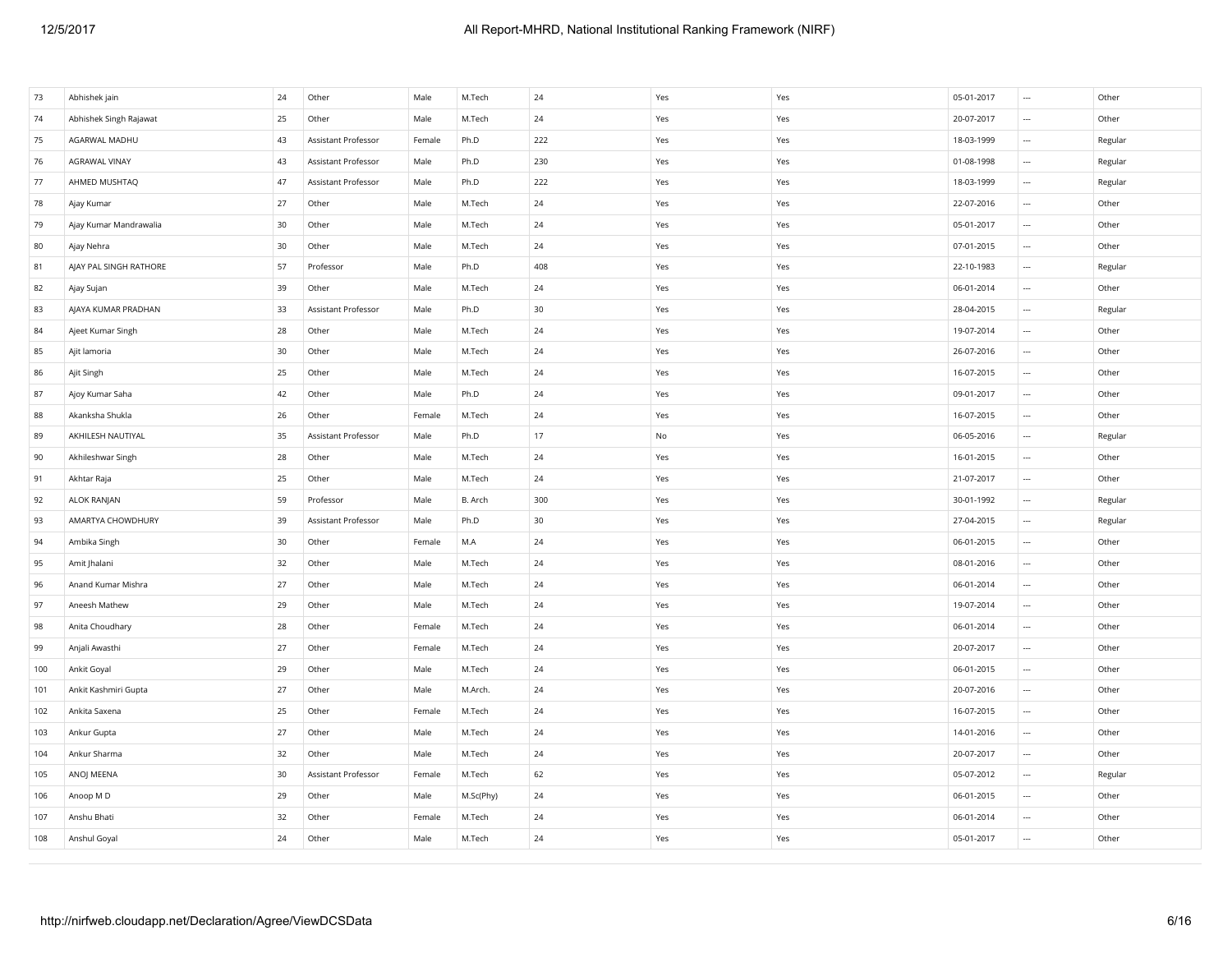| 73  | Abhishek jain          | 24 | Other               | Male   | M.Tech    | 24     | Yes | Yes | 05-01-2017 | $\sim$                   | Other   |
|-----|------------------------|----|---------------------|--------|-----------|--------|-----|-----|------------|--------------------------|---------|
| 74  | Abhishek Singh Rajawat | 25 | Other               | Male   | M.Tech    | 24     | Yes | Yes | 20-07-2017 | $\cdots$                 | Other   |
| 75  | AGARWAL MADHU          | 43 | Assistant Professor | Female | Ph.D      | 222    | Yes | Yes | 18-03-1999 | $\sim$                   | Regular |
| 76  | AGRAWAL VINAY          | 43 | Assistant Professor | Male   | Ph.D      | 230    | Yes | Yes | 01-08-1998 | $\sim$                   | Regular |
| 77  | AHMED MUSHTAQ          | 47 | Assistant Professor | Male   | Ph.D      | 222    | Yes | Yes | 18-03-1999 | $\ldots$                 | Regular |
| 78  | Ajay Kumar             | 27 | Other               | Male   | M.Tech    | 24     | Yes | Yes | 22-07-2016 | $\cdots$                 | Other   |
| 79  | Ajay Kumar Mandrawalia | 30 | Other               | Male   | M.Tech    | 24     | Yes | Yes | 05-01-2017 | $\ldots$                 | Other   |
| 80  | Ajay Nehra             | 30 | Other               | Male   | M.Tech    | 24     | Yes | Yes | 07-01-2015 | $\sim$                   | Other   |
| 81  | AJAY PAL SINGH RATHORE | 57 | Professor           | Male   | Ph.D      | 408    | Yes | Yes | 22-10-1983 | $\sim$                   | Regular |
| 82  | Ajay Sujan             | 39 | Other               | Male   | M.Tech    | 24     | Yes | Yes | 06-01-2014 | $\sim$                   | Other   |
| 83  | AJAYA KUMAR PRADHAN    | 33 | Assistant Professor | Male   | Ph.D      | 30     | Yes | Yes | 28-04-2015 | $\sim$                   | Regular |
| 84  | Ajeet Kumar Singh      | 28 | Other               | Male   | M.Tech    | 24     | Yes | Yes | 19-07-2014 | $\sim$                   | Other   |
| 85  | Ajit lamoria           | 30 | Other               | Male   | M.Tech    | 24     | Yes | Yes | 26-07-2016 | $\cdots$                 | Other   |
| 86  | Ajit Singh             | 25 | Other               | Male   | M.Tech    | 24     | Yes | Yes | 16-07-2015 | $\sim$                   | Other   |
| 87  | Ajoy Kumar Saha        | 42 | Other               | Male   | Ph.D      | 24     | Yes | Yes | 09-01-2017 | $\sim$                   | Other   |
| 88  | Akanksha Shukla        | 26 | Other               | Female | M.Tech    | 24     | Yes | Yes | 16-07-2015 | $\sim$                   | Other   |
| 89  | AKHILESH NAUTIYAL      | 35 | Assistant Professor | Male   | Ph.D      | 17     | No  | Yes | 06-05-2016 | $\sim$                   | Regular |
| 90  | Akhileshwar Singh      | 28 | Other               | Male   | M.Tech    | $24\,$ | Yes | Yes | 16-01-2015 | $\ldots$                 | Other   |
| 91  | Akhtar Raja            | 25 | Other               | Male   | M.Tech    | 24     | Yes | Yes | 21-07-2017 | $\sim$                   | Other   |
| 92  | ALOK RANJAN            | 59 | Professor           | Male   | B. Arch   | 300    | Yes | Yes | 30-01-1992 | $\sim$                   | Regular |
| 93  | AMARTYA CHOWDHURY      | 39 | Assistant Professor | Male   | Ph.D      | 30     | Yes | Yes | 27-04-2015 | $\sim$                   | Regular |
| 94  | Ambika Singh           | 30 | Other               | Female | M.A       | $24\,$ | Yes | Yes | 06-01-2015 | $\ldots$                 | Other   |
| 95  | Amit Jhalani           | 32 | Other               | Male   | M.Tech    | 24     | Yes | Yes | 08-01-2016 | $\sim$                   | Other   |
| 96  | Anand Kumar Mishra     | 27 | Other               | Male   | M.Tech    | 24     | Yes | Yes | 06-01-2014 | $\sim$                   | Other   |
| 97  | Aneesh Mathew          | 29 | Other               | Male   | M.Tech    | 24     | Yes | Yes | 19-07-2014 | $\sim$                   | Other   |
| 98  | Anita Choudhary        | 28 | Other               | Female | M.Tech    | 24     | Yes | Yes | 06-01-2014 | $\cdots$                 | Other   |
| 99  | Anjali Awasthi         | 27 | Other               | Female | M.Tech    | 24     | Yes | Yes | 20-07-2017 | $\sim$                   | Other   |
| 100 | Ankit Goyal            | 29 | Other               | Male   | M.Tech    | 24     | Yes | Yes | 06-01-2015 | $\sim$                   | Other   |
| 101 | Ankit Kashmiri Gupta   | 27 | Other               | Male   | M.Arch.   | 24     | Yes | Yes | 20-07-2016 | $\ldots$                 | Other   |
| 102 | Ankita Saxena          | 25 | Other               | Female | M.Tech    | 24     | Yes | Yes | 16-07-2015 | $\cdots$                 | Other   |
| 103 | Ankur Gupta            | 27 | Other               | Male   | M.Tech    | 24     | Yes | Yes | 14-01-2016 | $\sim$                   | Other   |
| 104 | Ankur Sharma           | 32 | Other               | Male   | M.Tech    | 24     | Yes | Yes | 20-07-2017 | $\overline{\phantom{a}}$ | Other   |
| 105 | ANOJ MEENA             | 30 | Assistant Professor | Female | M.Tech    | 62     | Yes | Yes | 05-07-2012 | $\sim$                   | Regular |
| 106 | Anoop M D              | 29 | Other               | Male   | M.Sc(Phy) | 24     | Yes | Yes | 06-01-2015 | $\sim$                   | Other   |
| 107 | Anshu Bhati            | 32 | Other               | Female | M.Tech    | 24     | Yes | Yes | 06-01-2014 | $\ldots$                 | Other   |
| 108 | Anshul Goyal           | 24 | Other               | Male   | M.Tech    | 24     | Yes | Yes | 05-01-2017 | $\overline{\phantom{a}}$ | Other   |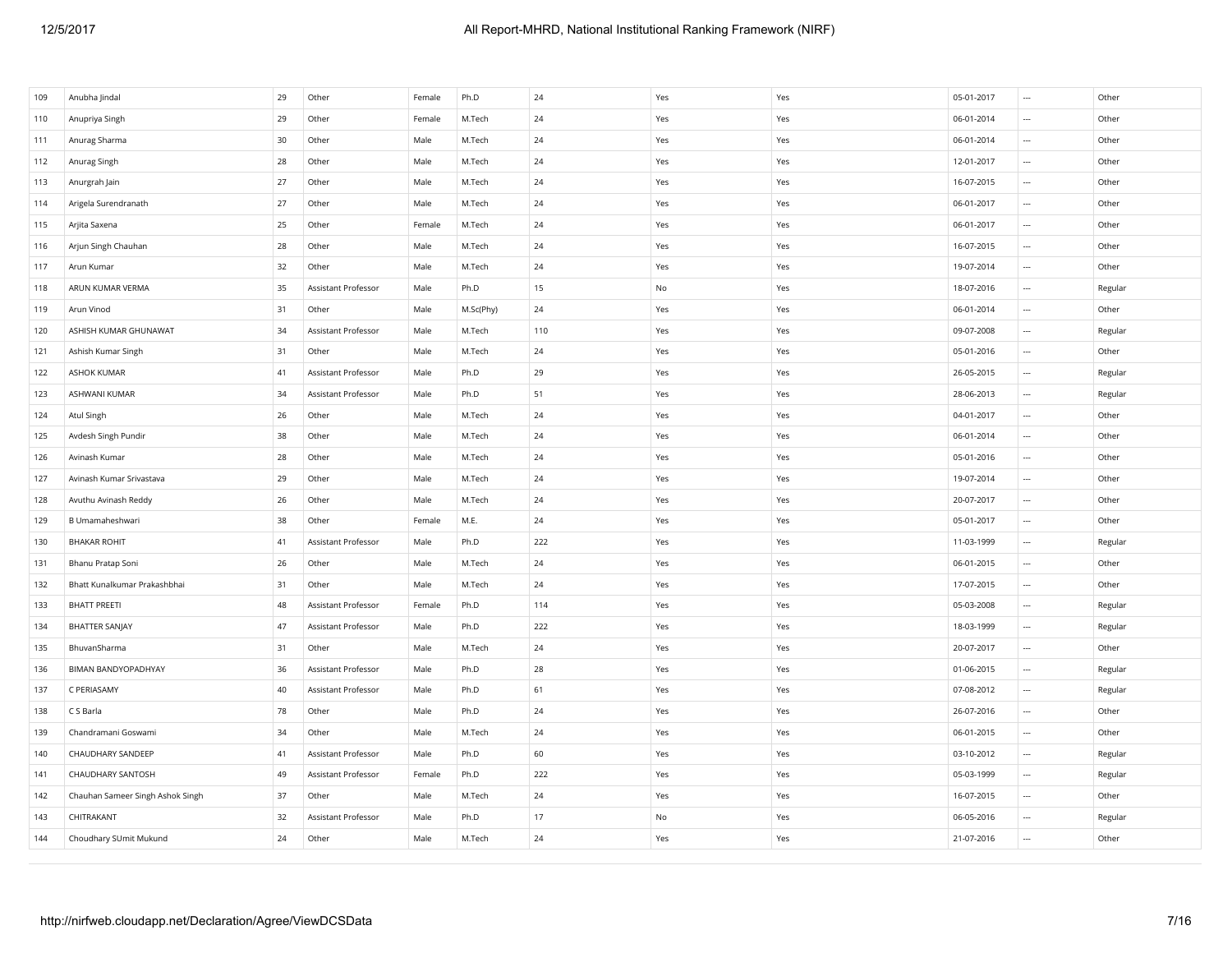| 109 | Anubha Jindal                    | 29 | Other               | Female | Ph.D      | 24  | Yes | Yes | 05-01-2017 | $\cdots$                 | Other   |
|-----|----------------------------------|----|---------------------|--------|-----------|-----|-----|-----|------------|--------------------------|---------|
| 110 | Anupriya Singh                   | 29 | Other               | Female | M.Tech    | 24  | Yes | Yes | 06-01-2014 | $\cdots$                 | Other   |
| 111 | Anurag Sharma                    | 30 | Other               | Male   | M.Tech    | 24  | Yes | Yes | 06-01-2014 | $\cdots$                 | Other   |
| 112 | Anurag Singh                     | 28 | Other               | Male   | M.Tech    | 24  | Yes | Yes | 12-01-2017 | $\ldots$                 | Other   |
| 113 | Anurgrah Jain                    | 27 | Other               | Male   | M.Tech    | 24  | Yes | Yes | 16-07-2015 | $\overline{\phantom{a}}$ | Other   |
| 114 | Arigela Surendranath             | 27 | Other               | Male   | M.Tech    | 24  | Yes | Yes | 06-01-2017 | $\cdots$                 | Other   |
| 115 | Arjita Saxena                    | 25 | Other               | Female | M.Tech    | 24  | Yes | Yes | 06-01-2017 | $\cdots$                 | Other   |
| 116 | Arjun Singh Chauhan              | 28 | Other               | Male   | M.Tech    | 24  | Yes | Yes | 16-07-2015 | $\ldots$                 | Other   |
| 117 | Arun Kumar                       | 32 | Other               | Male   | M.Tech    | 24  | Yes | Yes | 19-07-2014 | $\overline{\phantom{a}}$ | Other   |
| 118 | ARUN KUMAR VERMA                 | 35 | Assistant Professor | Male   | Ph.D      | 15  | No  | Yes | 18-07-2016 | $\overline{\phantom{a}}$ | Regular |
| 119 | Arun Vinod                       | 31 | Other               | Male   | M.Sc(Phy) | 24  | Yes | Yes | 06-01-2014 | $\cdots$                 | Other   |
| 120 | ASHISH KUMAR GHUNAWAT            | 34 | Assistant Professor | Male   | M.Tech    | 110 | Yes | Yes | 09-07-2008 | $\cdots$                 | Regular |
| 121 | Ashish Kumar Singh               | 31 | Other               | Male   | M.Tech    | 24  | Yes | Yes | 05-01-2016 | $\ldots$                 | Other   |
| 122 | <b>ASHOK KUMAR</b>               | 41 | Assistant Professor | Male   | Ph.D      | 29  | Yes | Yes | 26-05-2015 | $\cdots$                 | Regular |
| 123 | <b>ASHWANI KUMAR</b>             | 34 | Assistant Professor | Male   | Ph.D      | 51  | Yes | Yes | 28-06-2013 | $\ldots$                 | Regular |
| 124 | Atul Singh                       | 26 | Other               | Male   | M.Tech    | 24  | Yes | Yes | 04-01-2017 | $\cdots$                 | Other   |
| 125 | Avdesh Singh Pundir              | 38 | Other               | Male   | M.Tech    | 24  | Yes | Yes | 06-01-2014 | $\overline{\phantom{a}}$ | Other   |
| 126 | Avinash Kumar                    | 28 | Other               | Male   | M.Tech    | 24  | Yes | Yes | 05-01-2016 | $\cdots$                 | Other   |
| 127 | Avinash Kumar Srivastava         | 29 | Other               | Male   | M.Tech    | 24  | Yes | Yes | 19-07-2014 | $\ldots$                 | Other   |
| 128 | Avuthu Avinash Reddy             | 26 | Other               | Male   | M.Tech    | 24  | Yes | Yes | 20-07-2017 | $\overline{\phantom{a}}$ | Other   |
| 129 | B Umamaheshwari                  | 38 | Other               | Female | M.E.      | 24  | Yes | Yes | 05-01-2017 | $\ldots$                 | Other   |
| 130 | <b>BHAKAR ROHIT</b>              | 41 | Assistant Professor | Male   | Ph.D      | 222 | Yes | Yes | 11-03-1999 | $\ldots$                 | Regular |
| 131 | Bhanu Pratap Soni                | 26 | Other               | Male   | M.Tech    | 24  | Yes | Yes | 06-01-2015 | $\ldots$                 | Other   |
| 132 | Bhatt Kunalkumar Prakashbhai     | 31 | Other               | Male   | M.Tech    | 24  | Yes | Yes | 17-07-2015 | $\ldots$                 | Other   |
| 133 | <b>BHATT PREETI</b>              | 48 | Assistant Professor | Female | Ph.D      | 114 | Yes | Yes | 05-03-2008 | $\ldots$                 | Regular |
| 134 | <b>BHATTER SANJAY</b>            | 47 | Assistant Professor | Male   | Ph.D      | 222 | Yes | Yes | 18-03-1999 | $\ldots$                 | Regular |
| 135 | BhuvanSharma                     | 31 | Other               | Male   | M.Tech    | 24  | Yes | Yes | 20-07-2017 | $\ldots$                 | Other   |
| 136 | <b>BIMAN BANDYOPADHYAY</b>       | 36 | Assistant Professor | Male   | Ph.D      | 28  | Yes | Yes | 01-06-2015 | $\ldots$                 | Regular |
| 137 | C PERIASAMY                      | 40 | Assistant Professor | Male   | Ph.D      | 61  | Yes | Yes | 07-08-2012 | $\cdots$                 | Regular |
| 138 | C S Barla                        | 78 | Other               | Male   | Ph.D      | 24  | Yes | Yes | 26-07-2016 | $\ldots$                 | Other   |
| 139 | Chandramani Goswami              | 34 | Other               | Male   | M.Tech    | 24  | Yes | Yes | 06-01-2015 | $\ldots$                 | Other   |
| 140 | CHAUDHARY SANDEEP                | 41 | Assistant Professor | Male   | Ph.D      | 60  | Yes | Yes | 03-10-2012 | $\cdots$                 | Regular |
| 141 | CHAUDHARY SANTOSH                | 49 | Assistant Professor | Female | Ph.D      | 222 | Yes | Yes | 05-03-1999 | $\cdots$                 | Regular |
| 142 | Chauhan Sameer Singh Ashok Singh | 37 | Other               | Male   | M.Tech    | 24  | Yes | Yes | 16-07-2015 | $\ldots$                 | Other   |
| 143 | CHITRAKANT                       | 32 | Assistant Professor | Male   | Ph.D      | 17  | No  | Yes | 06-05-2016 | $\overline{\phantom{a}}$ | Regular |
| 144 | Choudhary SUmit Mukund           | 24 | Other               | Male   | M.Tech    | 24  | Yes | Yes | 21-07-2016 | $\sim$                   | Other   |
|     |                                  |    |                     |        |           |     |     |     |            |                          |         |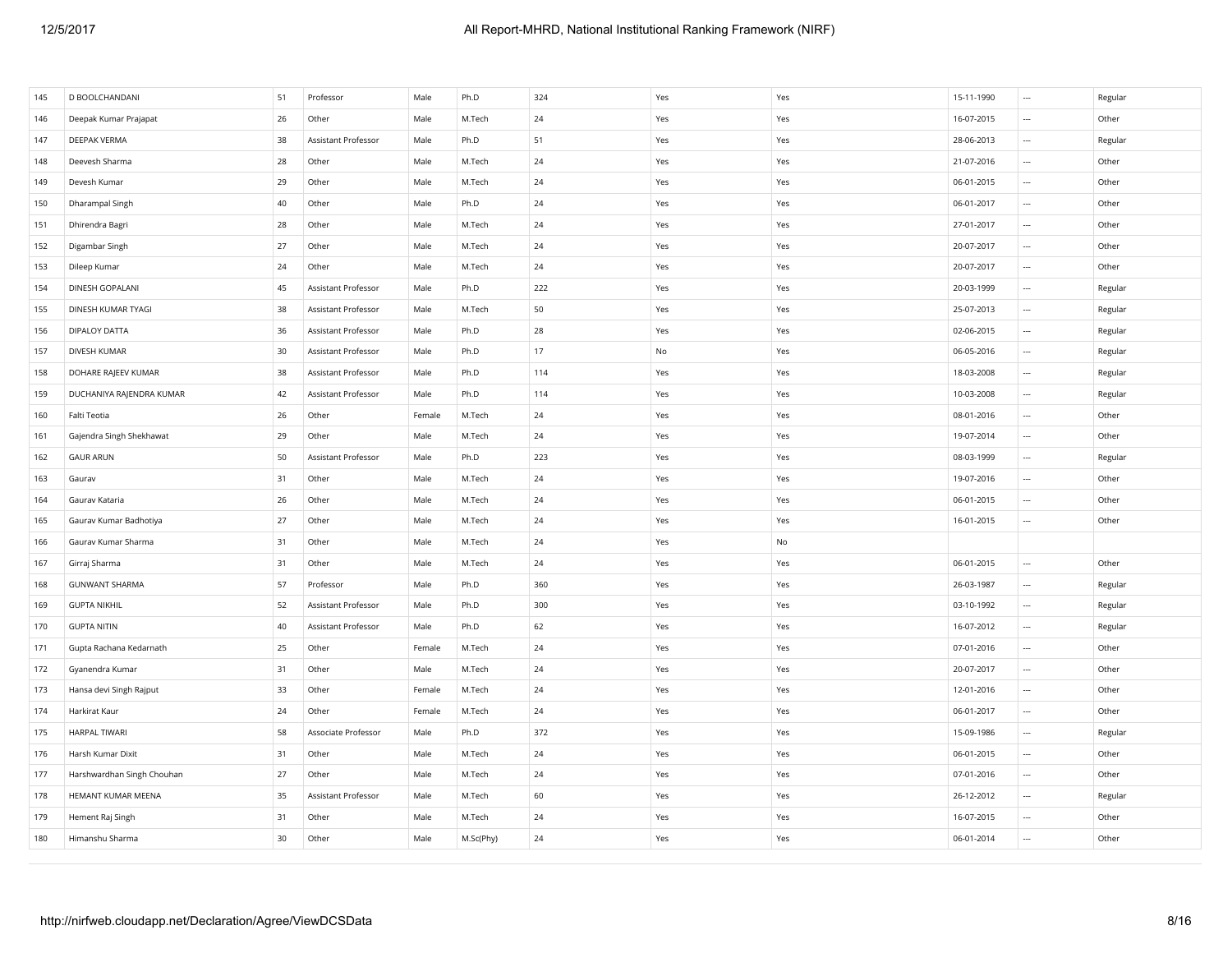| 145 | D BOOLCHANDANI             | 51 | Professor           | Male   | Ph.D      | 324    | Yes           | Yes | 15-11-1990 | $\cdots$                 | Regular |
|-----|----------------------------|----|---------------------|--------|-----------|--------|---------------|-----|------------|--------------------------|---------|
| 146 | Deepak Kumar Prajapat      | 26 | Other               | Male   | M.Tech    | 24     | Yes           | Yes | 16-07-2015 | $\cdots$                 | Other   |
| 147 | <b>DEEPAK VERMA</b>        | 38 | Assistant Professor | Male   | Ph.D      | 51     | Yes           | Yes | 28-06-2013 | $\cdots$                 | Regular |
| 148 | Deevesh Sharma             | 28 | Other               | Male   | M.Tech    | 24     | Yes           | Yes | 21-07-2016 | $\ldots$                 | Other   |
| 149 | Devesh Kumar               | 29 | Other               | Male   | M.Tech    | 24     | Yes           | Yes | 06-01-2015 | $\overline{\phantom{a}}$ | Other   |
| 150 | Dharampal Singh            | 40 | Other               | Male   | Ph.D      | 24     | Yes           | Yes | 06-01-2017 | $\ldots$                 | Other   |
| 151 | Dhirendra Bagri            | 28 | Other               | Male   | M.Tech    | 24     | Yes           | Yes | 27-01-2017 | $\cdots$                 | Other   |
| 152 | Digambar Singh             | 27 | Other               | Male   | M.Tech    | 24     | Yes           | Yes | 20-07-2017 | $\ldots$                 | Other   |
| 153 | Dileep Kumar               | 24 | Other               | Male   | M.Tech    | 24     | Yes           | Yes | 20-07-2017 | $\overline{\phantom{a}}$ | Other   |
| 154 | DINESH GOPALANI            | 45 | Assistant Professor | Male   | Ph.D      | 222    | Yes           | Yes | 20-03-1999 | $\ldots$                 | Regular |
| 155 | DINESH KUMAR TYAGI         | 38 | Assistant Professor | Male   | M.Tech    | 50     | Yes           | Yes | 25-07-2013 | $\cdots$                 | Regular |
| 156 | DIPALOY DATTA              | 36 | Assistant Professor | Male   | Ph.D      | 28     | Yes           | Yes | 02-06-2015 | $\ldots$                 | Regular |
| 157 | <b>DIVESH KUMAR</b>        | 30 | Assistant Professor | Male   | Ph.D      | 17     | $\mathsf{No}$ | Yes | 06-05-2016 | $\ldots$                 | Regular |
| 158 | DOHARE RAJEEV KUMAR        | 38 | Assistant Professor | Male   | Ph.D      | 114    | Yes           | Yes | 18-03-2008 | $\cdots$                 | Regular |
| 159 | DUCHANIYA RAJENDRA KUMAR   | 42 | Assistant Professor | Male   | Ph.D      | 114    | Yes           | Yes | 10-03-2008 | $\cdots$                 | Regular |
| 160 | Falti Teotia               | 26 | Other               | Female | M.Tech    | 24     | Yes           | Yes | 08-01-2016 | $\overline{\phantom{a}}$ | Other   |
| 161 | Gajendra Singh Shekhawat   | 29 | Other               | Male   | M.Tech    | 24     | Yes           | Yes | 19-07-2014 | $\ldots$                 | Other   |
| 162 | <b>GAUR ARUN</b>           | 50 | Assistant Professor | Male   | Ph.D      | 223    | Yes           | Yes | 08-03-1999 | $\ldots$                 | Regular |
| 163 | Gaurav                     | 31 | Other               | Male   | M.Tech    | $24\,$ | Yes           | Yes | 19-07-2016 | $\ldots$                 | Other   |
| 164 | Gaurav Kataria             | 26 | Other               | Male   | M.Tech    | 24     | Yes           | Yes | 06-01-2015 | $\ldots$                 | Other   |
| 165 | Gaurav Kumar Badhotiya     | 27 | Other               | Male   | M.Tech    | 24     | Yes           | Yes | 16-01-2015 | $\cdots$                 | Other   |
| 166 | Gaurav Kumar Sharma        | 31 | Other               | Male   | M.Tech    | 24     | Yes           | No  |            |                          |         |
| 167 | Girraj Sharma              | 31 | Other               | Male   | M.Tech    | 24     | Yes           | Yes | 06-01-2015 | $\overline{\phantom{a}}$ | Other   |
| 168 | <b>GUNWANT SHARMA</b>      | 57 | Professor           | Male   | Ph.D      | 360    | Yes           | Yes | 26-03-1987 | $\ldots$                 | Regular |
| 169 | <b>GUPTA NIKHIL</b>        | 52 | Assistant Professor | Male   | Ph.D      | 300    | Yes           | Yes | 03-10-1992 | $\ldots$                 | Regular |
| 170 | <b>GUPTA NITIN</b>         | 40 | Assistant Professor | Male   | Ph.D      | 62     | Yes           | Yes | 16-07-2012 | $\ldots$                 | Regular |
| 171 | Gupta Rachana Kedarnath    | 25 | Other               | Female | M.Tech    | 24     | Yes           | Yes | 07-01-2016 | $\overline{\phantom{a}}$ | Other   |
| 172 | Gyanendra Kumar            | 31 | Other               | Male   | M.Tech    | 24     | Yes           | Yes | 20-07-2017 | $\cdots$                 | Other   |
| 173 | Hansa devi Singh Rajput    | 33 | Other               | Female | M.Tech    | 24     | Yes           | Yes | 12-01-2016 | $\cdots$                 | Other   |
| 174 | Harkirat Kaur              | 24 | Other               | Female | M.Tech    | 24     | Yes           | Yes | 06-01-2017 | $\ldots$                 | Other   |
| 175 | <b>HARPAL TIWARI</b>       | 58 | Associate Professor | Male   | Ph.D      | 372    | Yes           | Yes | 15-09-1986 | $\overline{\phantom{a}}$ | Regular |
| 176 | Harsh Kumar Dixit          | 31 | Other               | Male   | M.Tech    | 24     | Yes           | Yes | 06-01-2015 | $\cdots$                 | Other   |
| 177 | Harshwardhan Singh Chouhan | 27 | Other               | Male   | M.Tech    | 24     | Yes           | Yes | 07-01-2016 | $\cdots$                 | Other   |
| 178 | HEMANT KUMAR MEENA         | 35 | Assistant Professor | Male   | M.Tech    | 60     | Yes           | Yes | 26-12-2012 | $\ldots$                 | Regular |
| 179 | Hement Raj Singh           | 31 | Other               | Male   | M.Tech    | 24     | Yes           | Yes | 16-07-2015 | $\overline{\phantom{a}}$ | Other   |
| 180 | Himanshu Sharma            | 30 | Other               | Male   | M.Sc(Phy) | 24     | Yes           | Yes | 06-01-2014 | $\overline{\phantom{a}}$ | Other   |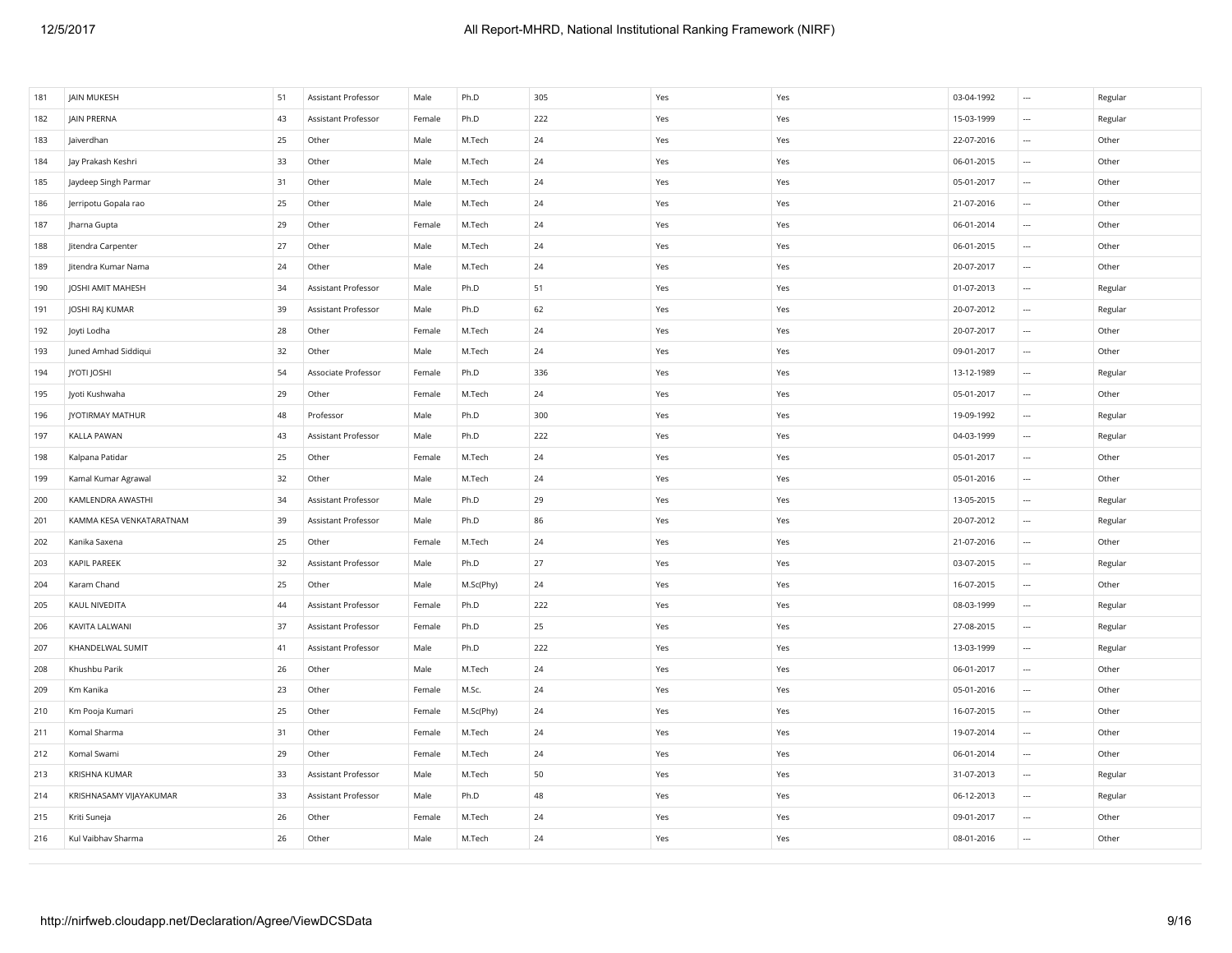| 181 | JAIN MUKESH              | 51 | Assistant Professor | Male   | Ph.D      | 305    | Yes | Yes | 03-04-1992 | $\sim$                   | Regular |
|-----|--------------------------|----|---------------------|--------|-----------|--------|-----|-----|------------|--------------------------|---------|
| 182 | JAIN PRERNA              | 43 | Assistant Professor | Female | Ph.D      | 222    | Yes | Yes | 15-03-1999 | $\sim$                   | Regular |
| 183 | Jaiverdhan               | 25 | Other               | Male   | M.Tech    | 24     | Yes | Yes | 22-07-2016 | $\cdots$                 | Other   |
| 184 | Jay Prakash Keshri       | 33 | Other               | Male   | M.Tech    | 24     | Yes | Yes | 06-01-2015 | $\overline{\phantom{a}}$ | Other   |
| 185 | Jaydeep Singh Parmar     | 31 | Other               | Male   | M.Tech    | 24     | Yes | Yes | 05-01-2017 | $\cdots$                 | Other   |
| 186 | Jerripotu Gopala rao     | 25 | Other               | Male   | M.Tech    | 24     | Yes | Yes | 21-07-2016 | $\cdots$                 | Other   |
| 187 | Jharna Gupta             | 29 | Other               | Female | M.Tech    | 24     | Yes | Yes | 06-01-2014 | $\cdots$                 | Other   |
| 188 | Jitendra Carpenter       | 27 | Other               | Male   | M.Tech    | 24     | Yes | Yes | 06-01-2015 | $\overline{\phantom{a}}$ | Other   |
| 189 | Jitendra Kumar Nama      | 24 | Other               | Male   | M.Tech    | 24     | Yes | Yes | 20-07-2017 | $\overline{\phantom{a}}$ | Other   |
| 190 | JOSHI AMIT MAHESH        | 34 | Assistant Professor | Male   | Ph.D      | 51     | Yes | Yes | 01-07-2013 | $\cdots$                 | Regular |
| 191 | JOSHI RAJ KUMAR          | 39 | Assistant Professor | Male   | Ph.D      | 62     | Yes | Yes | 20-07-2012 | $\cdots$                 | Regular |
| 192 | Joyti Lodha              | 28 | Other               | Female | M.Tech    | 24     | Yes | Yes | 20-07-2017 | $\overline{\phantom{a}}$ | Other   |
| 193 | Juned Amhad Siddiqui     | 32 | Other               | Male   | M.Tech    | 24     | Yes | Yes | 09-01-2017 | $\overline{\phantom{a}}$ | Other   |
| 194 | JYOTI JOSHI              | 54 | Associate Professor | Female | Ph.D      | 336    | Yes | Yes | 13-12-1989 | $\cdots$                 | Regular |
| 195 | Jyoti Kushwaha           | 29 | Other               | Female | M.Tech    | 24     | Yes | Yes | 05-01-2017 | $\cdots$                 | Other   |
| 196 | JYOTIRMAY MATHUR         | 48 | Professor           | Male   | Ph.D      | 300    | Yes | Yes | 19-09-1992 | $\overline{\phantom{a}}$ | Regular |
| 197 | <b>KALLA PAWAN</b>       | 43 | Assistant Professor | Male   | Ph.D      | 222    | Yes | Yes | 04-03-1999 | $\overline{\phantom{a}}$ | Regular |
| 198 | Kalpana Patidar          | 25 | Other               | Female | M.Tech    | 24     | Yes | Yes | 05-01-2017 | $\overline{\phantom{a}}$ | Other   |
| 199 | Kamal Kumar Agrawal      | 32 | Other               | Male   | M.Tech    | 24     | Yes | Yes | 05-01-2016 | $\sim$                   | Other   |
| 200 | KAMLENDRA AWASTHI        | 34 | Assistant Professor | Male   | Ph.D      | 29     | Yes | Yes | 13-05-2015 | $\sim$                   | Regular |
| 201 | KAMMA KESA VENKATARATNAM | 39 | Assistant Professor | Male   | Ph.D      | 86     | Yes | Yes | 20-07-2012 | $\sim$                   | Regular |
| 202 | Kanika Saxena            | 25 | Other               | Female | M.Tech    | 24     | Yes | Yes | 21-07-2016 | $\sim$                   | Other   |
| 203 | KAPIL PAREEK             | 32 | Assistant Professor | Male   | Ph.D      | 27     | Yes | Yes | 03-07-2015 | $\cdots$                 | Regular |
| 204 | Karam Chand              | 25 | Other               | Male   | M.Sc(Phy) | 24     | Yes | Yes | 16-07-2015 | $\sim$                   | Other   |
| 205 | KAUL NIVEDITA            | 44 | Assistant Professor | Female | Ph.D      | 222    | Yes | Yes | 08-03-1999 | $\cdots$                 | Regular |
| 206 | KAVITA LALWANI           | 37 | Assistant Professor | Female | Ph.D      | 25     | Yes | Yes | 27-08-2015 | $\sim$                   | Regular |
| 207 | KHANDELWAL SUMIT         | 41 | Assistant Professor | Male   | Ph.D      | 222    | Yes | Yes | 13-03-1999 | $\overline{\phantom{a}}$ | Regular |
| 208 | Khushbu Parik            | 26 | Other               | Male   | M.Tech    | $24\,$ | Yes | Yes | 06-01-2017 | $\cdots$                 | Other   |
| 209 | Km Kanika                | 23 | Other               | Female | M.Sc.     | 24     | Yes | Yes | 05-01-2016 | $\cdots$                 | Other   |
| 210 | Km Pooja Kumari          | 25 | Other               | Female | M.Sc(Phy) | 24     | Yes | Yes | 16-07-2015 | $\sim$                   | Other   |
| 211 | Komal Sharma             | 31 | Other               | Female | M.Tech    | 24     | Yes | Yes | 19-07-2014 | $\overline{\phantom{a}}$ | Other   |
| 212 | Komal Swami              | 29 | Other               | Female | M.Tech    | 24     | Yes | Yes | 06-01-2014 | $\cdots$                 | Other   |
| 213 | KRISHNA KUMAR            | 33 | Assistant Professor | Male   | M.Tech    | 50     | Yes | Yes | 31-07-2013 | $\cdots$                 | Regular |
| 214 | KRISHNASAMY VIJAYAKUMAR  | 33 | Assistant Professor | Male   | Ph.D      | 48     | Yes | Yes | 06-12-2013 | $\sim$                   | Regular |
| 215 | Kriti Suneja             | 26 | Other               | Female | M.Tech    | 24     | Yes | Yes | 09-01-2017 | $\overline{\phantom{a}}$ | Other   |
| 216 | Kul Vaibhav Sharma       | 26 | Other               | Male   | M.Tech    | 24     | Yes | Yes | 08-01-2016 | $\sim$                   | Other   |
|     |                          |    |                     |        |           |        |     |     |            |                          |         |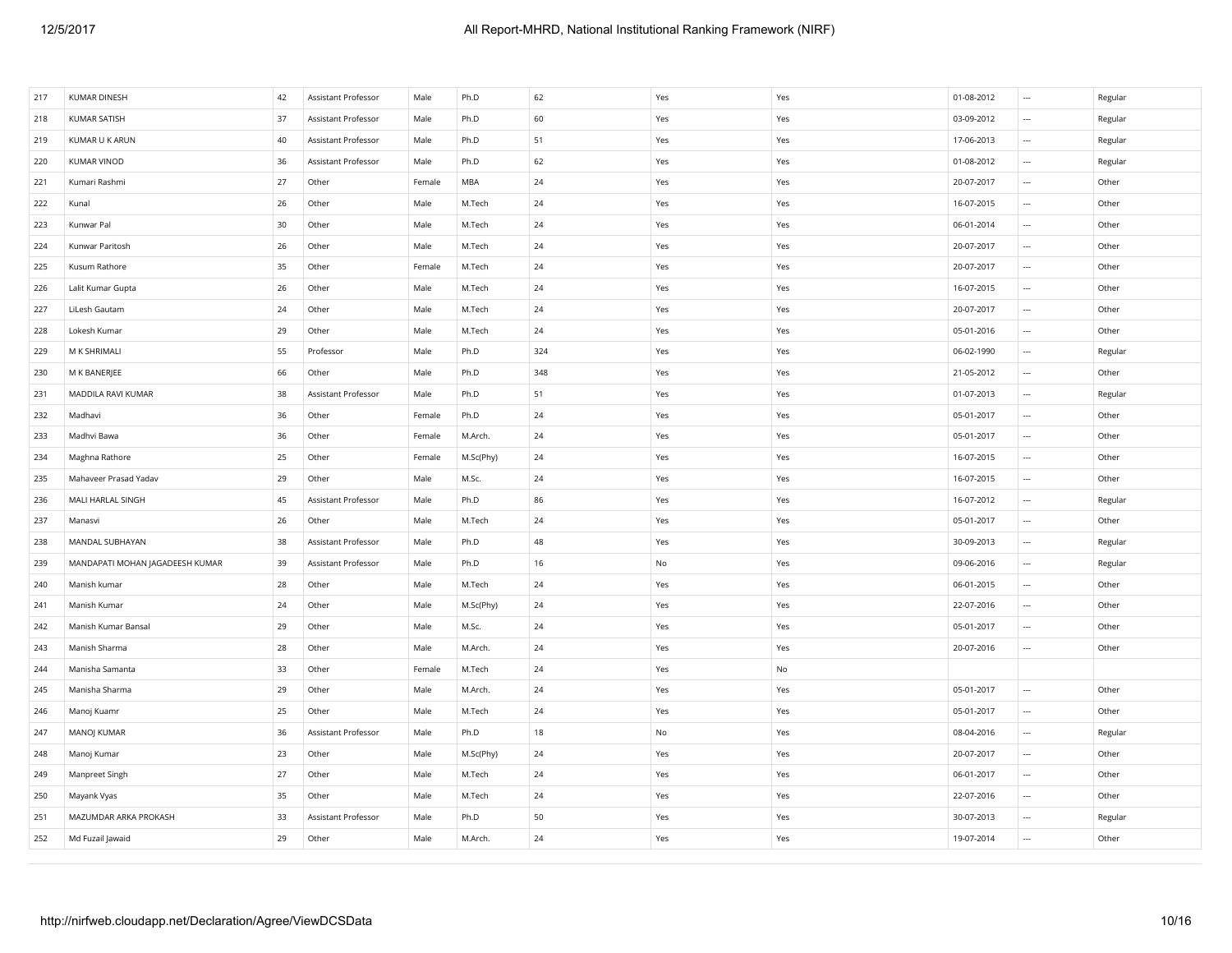| 217 | KUMAR DINESH                    | 42 | Assistant Professor | Male   | Ph.D      | 62  | Yes           | Yes | 01-08-2012 | $\cdots$                 | Regular |
|-----|---------------------------------|----|---------------------|--------|-----------|-----|---------------|-----|------------|--------------------------|---------|
| 218 | <b>KUMAR SATISH</b>             | 37 | Assistant Professor | Male   | Ph.D      | 60  | Yes           | Yes | 03-09-2012 | $\cdots$                 | Regular |
| 219 | KUMAR U K ARUN                  | 40 | Assistant Professor | Male   | Ph.D      | 51  | Yes           | Yes | 17-06-2013 | $\cdots$                 | Regular |
| 220 | <b>KUMAR VINOD</b>              | 36 | Assistant Professor | Male   | Ph.D      | 62  | Yes           | Yes | 01-08-2012 | $\ldots$                 | Regular |
| 221 | Kumari Rashmi                   | 27 | Other               | Female | MBA       | 24  | Yes           | Yes | 20-07-2017 | $\overline{\phantom{a}}$ | Other   |
| 222 | Kunal                           | 26 | Other               | Male   | M.Tech    | 24  | Yes           | Yes | 16-07-2015 | $\cdots$                 | Other   |
| 223 | Kunwar Pal                      | 30 | Other               | Male   | M.Tech    | 24  | Yes           | Yes | 06-01-2014 | $\ldots$                 | Other   |
| 224 | Kunwar Paritosh                 | 26 | Other               | Male   | M.Tech    | 24  | Yes           | Yes | 20-07-2017 | $\ldots$                 | Other   |
| 225 | Kusum Rathore                   | 35 | Other               | Female | M.Tech    | 24  | Yes           | Yes | 20-07-2017 | $\ldots$                 | Other   |
| 226 | Lalit Kumar Gupta               | 26 | Other               | Male   | M.Tech    | 24  | Yes           | Yes | 16-07-2015 | $\ldots$                 | Other   |
| 227 | LiLesh Gautam                   | 24 | Other               | Male   | M.Tech    | 24  | Yes           | Yes | 20-07-2017 | $\ldots$                 | Other   |
| 228 | Lokesh Kumar                    | 29 | Other               | Male   | M.Tech    | 24  | Yes           | Yes | 05-01-2016 | $\cdots$                 | Other   |
| 229 | M K SHRIMALI                    | 55 | Professor           | Male   | Ph.D      | 324 | Yes           | Yes | 06-02-1990 | $\cdots$                 | Regular |
| 230 | M K BANERJEE                    | 66 | Other               | Male   | Ph.D      | 348 | Yes           | Yes | 21-05-2012 | $\cdots$                 | Other   |
| 231 | MADDILA RAVI KUMAR              | 38 | Assistant Professor | Male   | Ph.D      | 51  | Yes           | Yes | 01-07-2013 | $\ldots$                 | Regular |
| 232 | Madhavi                         | 36 | Other               | Female | Ph.D      | 24  | Yes           | Yes | 05-01-2017 | $\cdots$                 | Other   |
| 233 | Madhvi Bawa                     | 36 | Other               | Female | M.Arch.   | 24  | Yes           | Yes | 05-01-2017 | $\cdots$                 | Other   |
| 234 | Maghna Rathore                  | 25 | Other               | Female | M.Sc(Phy) | 24  | Yes           | Yes | 16-07-2015 | $\cdots$                 | Other   |
| 235 | Mahaveer Prasad Yadav           | 29 | Other               | Male   | M.Sc.     | 24  | Yes           | Yes | 16-07-2015 | $\sim$                   | Other   |
| 236 | MALI HARLAL SINGH               | 45 | Assistant Professor | Male   | Ph.D      | 86  | Yes           | Yes | 16-07-2012 | $\ldots$                 | Regular |
| 237 | Manasvi                         | 26 | Other               | Male   | M.Tech    | 24  | Yes           | Yes | 05-01-2017 | $\ldots$                 | Other   |
| 238 | MANDAL SUBHAYAN                 | 38 | Assistant Professor | Male   | Ph.D      | 48  | Yes           | Yes | 30-09-2013 | $\ldots$                 | Regular |
| 239 | MANDAPATI MOHAN JAGADEESH KUMAR | 39 | Assistant Professor | Male   | Ph.D      | 16  | No            | Yes | 09-06-2016 | $\ldots$                 | Regular |
| 240 | Manish kumar                    | 28 | Other               | Male   | M.Tech    | 24  | Yes           | Yes | 06-01-2015 | $\ldots$                 | Other   |
| 241 | Manish Kumar                    | 24 | Other               | Male   | M.Sc(Phy) | 24  | Yes           | Yes | 22-07-2016 | $\overline{\phantom{a}}$ | Other   |
| 242 | Manish Kumar Bansal             | 29 | Other               | Male   | M.Sc.     | 24  | Yes           | Yes | 05-01-2017 | $\ldots$                 | Other   |
| 243 | Manish Sharma                   | 28 | Other               | Male   | M.Arch.   | 24  | Yes           | Yes | 20-07-2016 | $\cdots$                 | Other   |
| 244 | Manisha Samanta                 | 33 | Other               | Female | M.Tech    | 24  | Yes           | No  |            |                          |         |
| 245 | Manisha Sharma                  | 29 | Other               | Male   | M.Arch.   | 24  | Yes           | Yes | 05-01-2017 | $\ldots$                 | Other   |
| 246 | Manoj Kuamr                     | 25 | Other               | Male   | M.Tech    | 24  | Yes           | Yes | 05-01-2017 | $\ldots$                 | Other   |
| 247 | MANOJ KUMAR                     | 36 | Assistant Professor | Male   | Ph.D      | 18  | $\mathsf{No}$ | Yes | 08-04-2016 | $\ldots$                 | Regular |
| 248 | Manoj Kumar                     | 23 | Other               | Male   | M.Sc(Phy) | 24  | Yes           | Yes | 20-07-2017 | $\cdots$                 | Other   |
| 249 | Manpreet Singh                  | 27 | Other               | Male   | M.Tech    | 24  | Yes           | Yes | 06-01-2017 | $\cdots$                 | Other   |
| 250 | Mayank Vyas                     | 35 | Other               | Male   | M.Tech    | 24  | Yes           | Yes | 22-07-2016 | $\sim$                   | Other   |
| 251 | MAZUMDAR ARKA PROKASH           | 33 | Assistant Professor | Male   | Ph.D      | 50  | Yes           | Yes | 30-07-2013 | $\overline{\phantom{a}}$ | Regular |
| 252 | Md Fuzail Jawaid                | 29 | Other               | Male   | M.Arch.   | 24  | Yes           | Yes | 19-07-2014 | $\sim$                   | Other   |
|     |                                 |    |                     |        |           |     |               |     |            |                          |         |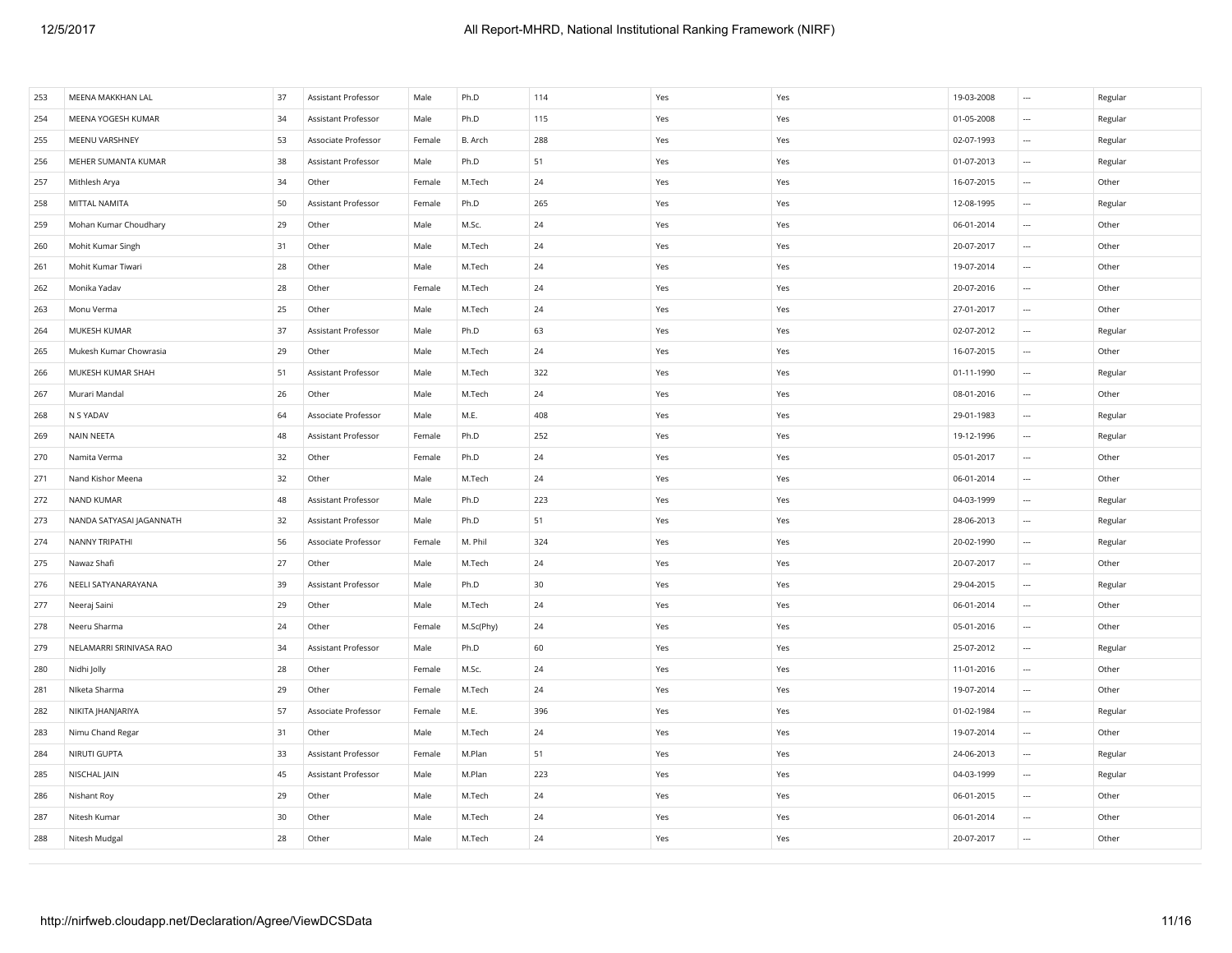| 253 | MEENA MAKKHAN LAL        | 37 | Assistant Professor | Male   | Ph.D      | 114    | Yes | Yes | 19-03-2008 | $\cdots$                 | Regular |
|-----|--------------------------|----|---------------------|--------|-----------|--------|-----|-----|------------|--------------------------|---------|
| 254 | MEENA YOGESH KUMAR       | 34 | Assistant Professor | Male   | Ph.D      | 115    | Yes | Yes | 01-05-2008 | $\cdots$                 | Regular |
| 255 | MEENU VARSHNEY           | 53 | Associate Professor | Female | B. Arch   | 288    | Yes | Yes | 02-07-1993 | $\cdots$                 | Regular |
| 256 | MEHER SUMANTA KUMAR      | 38 | Assistant Professor | Male   | Ph.D      | 51     | Yes | Yes | 01-07-2013 | $\overline{\phantom{a}}$ | Regular |
| 257 | Mithlesh Arya            | 34 | Other               | Female | M.Tech    | $24\,$ | Yes | Yes | 16-07-2015 | $\cdots$                 | Other   |
| 258 | MITTAL NAMITA            | 50 | Assistant Professor | Female | Ph.D      | 265    | Yes | Yes | 12-08-1995 | $\cdots$                 | Regular |
| 259 | Mohan Kumar Choudhary    | 29 | Other               | Male   | M.Sc.     | 24     | Yes | Yes | 06-01-2014 | $\cdots$                 | Other   |
| 260 | Mohit Kumar Singh        | 31 | Other               | Male   | M.Tech    | 24     | Yes | Yes | 20-07-2017 | $\ldots$                 | Other   |
| 261 | Mohit Kumar Tiwari       | 28 | Other               | Male   | M.Tech    | 24     | Yes | Yes | 19-07-2014 | $\overline{\phantom{a}}$ | Other   |
| 262 | Monika Yadav             | 28 | Other               | Female | M.Tech    | 24     | Yes | Yes | 20-07-2016 | $\cdots$                 | Other   |
| 263 | Monu Verma               | 25 | Other               | Male   | M.Tech    | 24     | Yes | Yes | 27-01-2017 | $\ldots$                 | Other   |
| 264 | MUKESH KUMAR             | 37 | Assistant Professor | Male   | Ph.D      | 63     | Yes | Yes | 02-07-2012 | $\ldots$                 | Regular |
| 265 | Mukesh Kumar Chowrasia   | 29 | Other               | Male   | M.Tech    | 24     | Yes | Yes | 16-07-2015 | $\ldots$                 | Other   |
| 266 | MUKESH KUMAR SHAH        | 51 | Assistant Professor | Male   | M.Tech    | 322    | Yes | Yes | 01-11-1990 | $\ldots$                 | Regular |
| 267 | Murari Mandal            | 26 | Other               | Male   | M.Tech    | 24     | Yes | Yes | 08-01-2016 | $\cdots$                 | Other   |
| 268 | N S YADAV                | 64 | Associate Professor | Male   | M.E.      | 408    | Yes | Yes | 29-01-1983 | $\overline{\phantom{a}}$ | Regular |
| 269 | <b>NAIN NEETA</b>        | 48 | Assistant Professor | Female | Ph.D      | 252    | Yes | Yes | 19-12-1996 | $\overline{\phantom{a}}$ | Regular |
| 270 | Namita Verma             | 32 | Other               | Female | Ph.D      | 24     | Yes | Yes | 05-01-2017 | $\ldots$                 | Other   |
| 271 | Nand Kishor Meena        | 32 | Other               | Male   | M.Tech    | 24     | Yes | Yes | 06-01-2014 | $\cdots$                 | Other   |
| 272 | <b>NAND KUMAR</b>        | 48 | Assistant Professor | Male   | Ph.D      | 223    | Yes | Yes | 04-03-1999 | $\ldots$                 | Regular |
| 273 | NANDA SATYASAI JAGANNATH | 32 | Assistant Professor | Male   | Ph.D      | 51     | Yes | Yes | 28-06-2013 | $\ldots$                 | Regular |
| 274 | NANNY TRIPATHI           | 56 | Associate Professor | Female | M. Phil   | 324    | Yes | Yes | 20-02-1990 | $\cdots$                 | Regular |
| 275 | Nawaz Shafi              | 27 | Other               | Male   | M.Tech    | 24     | Yes | Yes | 20-07-2017 | $\ldots$                 | Other   |
| 276 | NEELI SATYANARAYANA      | 39 | Assistant Professor | Male   | Ph.D      | 30     | Yes | Yes | 29-04-2015 | $\ldots$                 | Regular |
| 277 | Neeraj Saini             | 29 | Other               | Male   | M.Tech    | 24     | Yes | Yes | 06-01-2014 | $\sim$                   | Other   |
| 278 | Neeru Sharma             | 24 | Other               | Female | M.Sc(Phy) | 24     | Yes | Yes | 05-01-2016 | $\sim$                   | Other   |
| 279 | NELAMARRI SRINIVASA RAO  | 34 | Assistant Professor | Male   | Ph.D      | 60     | Yes | Yes | 25-07-2012 | $\overline{\phantom{a}}$ | Regular |
| 280 | Nidhi Jolly              | 28 | Other               | Female | M.Sc.     | 24     | Yes | Yes | 11-01-2016 | $\cdots$                 | Other   |
| 281 | Niketa Sharma            | 29 | Other               | Female | M.Tech    | 24     | Yes | Yes | 19-07-2014 | $\cdots$                 | Other   |
| 282 | NIKITA   HANJARIYA       | 57 | Associate Professor | Female | M.E.      | 396    | Yes | Yes | 01-02-1984 | $\ldots$                 | Regular |
| 283 | Nimu Chand Regar         | 31 | Other               | Male   | M.Tech    | 24     | Yes | Yes | 19-07-2014 | $\overline{\phantom{a}}$ | Other   |
| 284 | NIRUTI GUPTA             | 33 | Assistant Professor | Female | M.Plan    | 51     | Yes | Yes | 24-06-2013 | $\cdots$                 | Regular |
| 285 | NISCHAL JAIN             | 45 | Assistant Professor | Male   | M.Plan    | 223    | Yes | Yes | 04-03-1999 | $\cdots$                 | Regular |
| 286 | Nishant Roy              | 29 | Other               | Male   | M.Tech    | 24     | Yes | Yes | 06-01-2015 | $\cdots$                 | Other   |
| 287 | Nitesh Kumar             | 30 | Other               | Male   | M.Tech    | 24     | Yes | Yes | 06-01-2014 | $\overline{\phantom{a}}$ | Other   |
| 288 | Nitesh Mudgal            | 28 | Other               | Male   | M.Tech    | 24     | Yes | Yes | 20-07-2017 | $\sim$                   | Other   |
|     |                          |    |                     |        |           |        |     |     |            |                          |         |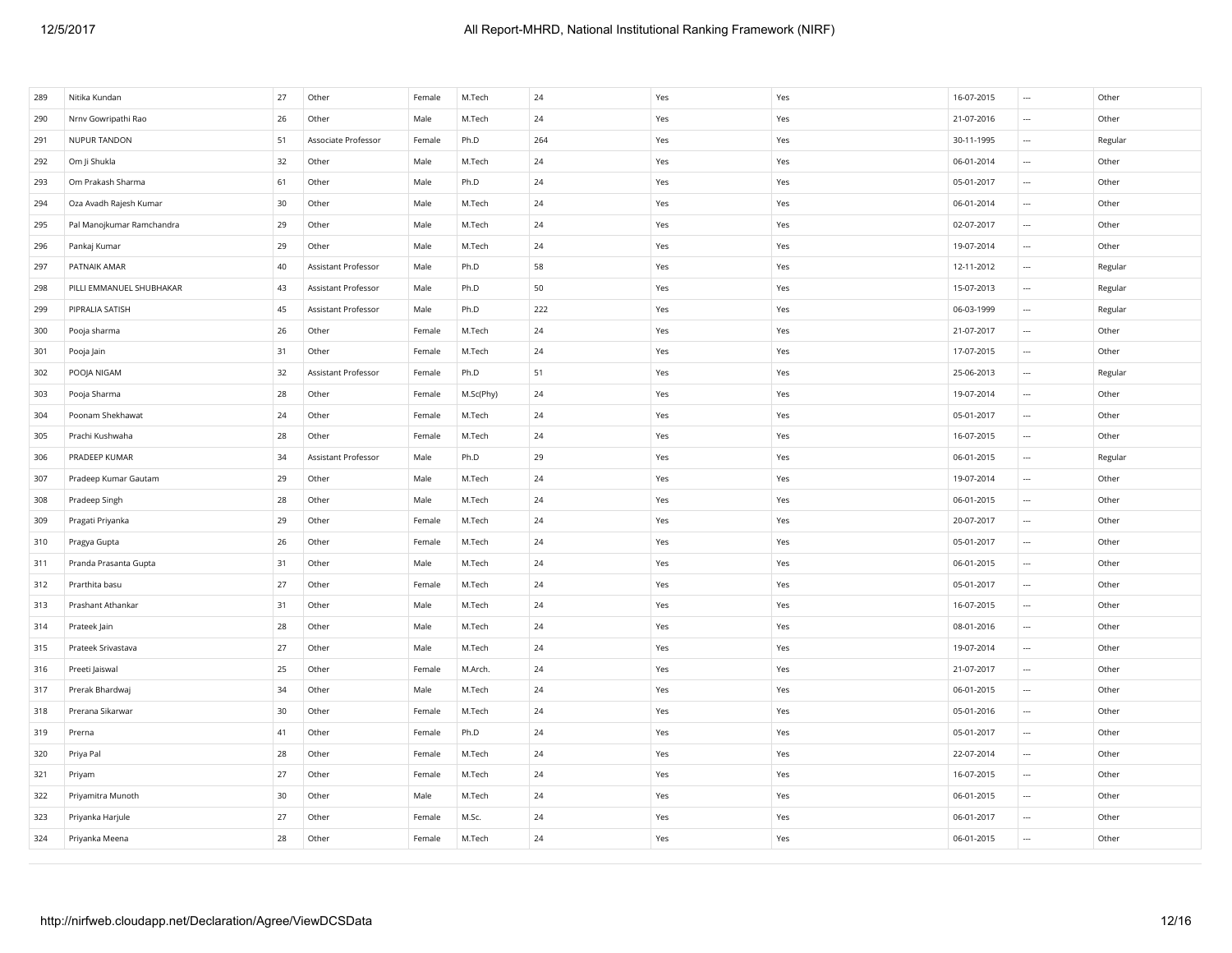| 24<br>Other<br>26<br>Other<br>M.Tech<br>Yes<br>Yes<br>21-07-2016<br>290<br>Nrnv Gowripathi Rao<br>Male<br>$\sim$<br>Associate Professor<br>Yes<br>NUPUR TANDON<br>51<br>Ph.D<br>264<br>Yes<br>30-11-1995<br>Regular<br>291<br>Female<br>$\sim$<br>Om Ji Shukla<br>32<br>Other<br>Male<br>M.Tech<br>24<br>Yes<br>Yes<br>06-01-2014<br>Other<br>292<br>$\overline{\phantom{a}}$<br>Other<br>$24\,$<br>05-01-2017<br>Other<br>293<br>Om Prakash Sharma<br>61<br>Male<br>Ph.D<br>Yes<br>Yes<br>$\sim$<br>24<br>06-01-2014<br>Other<br>Oza Avadh Rajesh Kumar<br>30<br>Other<br>Male<br>M.Tech<br>Yes<br>294<br>Yes<br>$\cdots$<br>02-07-2017<br>Pal Manojkumar Ramchandra<br>29<br>Other<br>Male<br>M.Tech<br>24<br>Yes<br>Other<br>295<br>Yes<br>$\cdots$<br>29<br>Other<br>Male<br>24<br>Yes<br>19-07-2014<br>Other<br>296<br>Pankaj Kumar<br>M.Tech<br>Yes<br>$\sim$<br>58<br>297<br>PATNAIK AMAR<br>40<br>Assistant Professor<br>Male<br>Ph.D<br>Yes<br>Yes<br>12-11-2012<br>Regular<br>$\overline{\phantom{a}}$<br>50<br>15-07-2013<br>PILLI EMMANUEL SHUBHAKAR<br>43<br>Assistant Professor<br>Yes<br>Yes<br>Regular<br>298<br>Male<br>Ph.D<br>$\sim$<br>299<br>PIPRALIA SATISH<br>45<br>Assistant Professor<br>Male<br>Ph.D<br>222<br>Yes<br>Yes<br>06-03-1999<br>Regular<br>$\sim$<br>26<br>Other<br>24<br>Yes<br>21-07-2017<br>Other<br>300<br>Pooja sharma<br>Female<br>M.Tech<br>Yes<br>$\sim$<br>31<br>Other<br>M.Tech<br>24<br>Yes<br>17-07-2015<br>Other<br>301<br>Pooja Jain<br>Female<br>Yes<br>$\sim$<br>POOJA NIGAM<br>Ph.D<br>51<br>Regular<br>302<br>32<br>Assistant Professor<br>Female<br>Yes<br>Yes<br>25-06-2013<br>$\ldots$<br>Pooja Sharma<br>28<br>Other<br>Female<br>M.Sc(Phy)<br>24<br>Yes<br>Yes<br>19-07-2014<br>Other<br>303<br>$\sim$<br>24<br>Other<br>M.Tech<br>24<br>05-01-2017<br>Other<br>304<br>Poonam Shekhawat<br>Female<br>Yes<br>Yes<br>$\overline{\phantom{a}}$<br>28<br>Other<br>24<br>16-07-2015<br>Other<br>305<br>Prachi Kushwaha<br>Female<br>M.Tech<br>Yes<br>Yes<br>$\overline{\phantom{a}}$<br>PRADEEP KUMAR<br>Assistant Professor<br>Ph.D<br>29<br>Yes<br>Yes<br>306<br>34<br>Male<br>06-01-2015<br>$\ldots$<br>Regular<br>Pradeep Kumar Gautam<br>29<br>Other<br>Male<br>M.Tech<br>24<br>Yes<br>Yes<br>19-07-2014<br>Other<br>307<br>$\sim$<br>28<br>Other<br>24<br>06-01-2015<br>Other<br>308<br>Pradeep Singh<br>Male<br>M.Tech<br>Yes<br>Yes<br>$\sim$<br>29<br>Other<br>24<br>20-07-2017<br>Other<br>Pragati Priyanka<br>Female<br>M.Tech<br>Yes<br>Yes<br>$\sim$<br>309<br>Other<br>24<br>Other<br>Pragya Gupta<br>26<br>Female<br>M.Tech<br>Yes<br>Yes<br>05-01-2017<br>$\sim$<br>310<br>Pranda Prasanta Gupta<br>31<br>Other<br>Male<br>M.Tech<br>24<br>Yes<br>Yes<br>06-01-2015<br>Other<br>311<br>$\cdots$<br>Other<br>24<br>05-01-2017<br>Other<br>312<br>Prarthita basu<br>27<br>Female<br>M.Tech<br>Yes<br>Yes<br>$\sim$<br>Other<br>24<br>16-07-2015<br>Other<br>313<br>Prashant Athankar<br>31<br>Male<br>M.Tech<br>Yes<br>Yes<br>$\sim$<br>28<br>Other<br>08-01-2016<br>Other<br>314<br>Prateek Jain<br>Male<br>M.Tech<br>24<br>Yes<br>Yes<br>$\sim$<br>Prateek Srivastava<br>27<br>Other<br>Male<br>M.Tech<br>24<br>Yes<br>Yes<br>19-07-2014<br>Other<br>315<br>$\overline{\phantom{a}}$<br>21-07-2017<br>Other<br>Preeti Jaiswal<br>25<br>Other<br>Female<br>M.Arch.<br>24<br>Yes<br>Yes<br>316<br>$\sim$<br>Other<br>24<br>Other<br>34<br>Male<br>M.Tech<br>Yes<br>Yes<br>06-01-2015<br>317<br>Prerak Bhardwaj<br>$\sim$<br>Other<br>318<br>Prerana Sikarwar<br>30<br>Other<br>Female<br>M.Tech<br>24<br>Yes<br>Yes<br>05-01-2016<br>$\sim$<br>41<br>Other<br>Ph.D<br>24<br>Yes<br>Yes<br>05-01-2017<br>Other<br>319<br>Prerna<br>Female<br>$\overline{\phantom{a}}$ | 289 | Nitika Kundan | 27 | Other | Female | M.Tech | 24 | Yes | Yes | 16-07-2015 | $\sim$ | Other |
|-------------------------------------------------------------------------------------------------------------------------------------------------------------------------------------------------------------------------------------------------------------------------------------------------------------------------------------------------------------------------------------------------------------------------------------------------------------------------------------------------------------------------------------------------------------------------------------------------------------------------------------------------------------------------------------------------------------------------------------------------------------------------------------------------------------------------------------------------------------------------------------------------------------------------------------------------------------------------------------------------------------------------------------------------------------------------------------------------------------------------------------------------------------------------------------------------------------------------------------------------------------------------------------------------------------------------------------------------------------------------------------------------------------------------------------------------------------------------------------------------------------------------------------------------------------------------------------------------------------------------------------------------------------------------------------------------------------------------------------------------------------------------------------------------------------------------------------------------------------------------------------------------------------------------------------------------------------------------------------------------------------------------------------------------------------------------------------------------------------------------------------------------------------------------------------------------------------------------------------------------------------------------------------------------------------------------------------------------------------------------------------------------------------------------------------------------------------------------------------------------------------------------------------------------------------------------------------------------------------------------------------------------------------------------------------------------------------------------------------------------------------------------------------------------------------------------------------------------------------------------------------------------------------------------------------------------------------------------------------------------------------------------------------------------------------------------------------------------------------------------------------------------------------------------------------------------------------------------------------------------------------------------------------------------------------------------------------------------------------------------------------------------------------------------------------------------------------------------------------------------------------------------------------------------------------------------------------------------------------------------------------------------------------------------------------------------------------------------------------------|-----|---------------|----|-------|--------|--------|----|-----|-----|------------|--------|-------|
|                                                                                                                                                                                                                                                                                                                                                                                                                                                                                                                                                                                                                                                                                                                                                                                                                                                                                                                                                                                                                                                                                                                                                                                                                                                                                                                                                                                                                                                                                                                                                                                                                                                                                                                                                                                                                                                                                                                                                                                                                                                                                                                                                                                                                                                                                                                                                                                                                                                                                                                                                                                                                                                                                                                                                                                                                                                                                                                                                                                                                                                                                                                                                                                                                                                                                                                                                                                                                                                                                                                                                                                                                                                                                                                                           |     |               |    |       |        |        |    |     |     |            |        |       |
|                                                                                                                                                                                                                                                                                                                                                                                                                                                                                                                                                                                                                                                                                                                                                                                                                                                                                                                                                                                                                                                                                                                                                                                                                                                                                                                                                                                                                                                                                                                                                                                                                                                                                                                                                                                                                                                                                                                                                                                                                                                                                                                                                                                                                                                                                                                                                                                                                                                                                                                                                                                                                                                                                                                                                                                                                                                                                                                                                                                                                                                                                                                                                                                                                                                                                                                                                                                                                                                                                                                                                                                                                                                                                                                                           |     |               |    |       |        |        |    |     |     |            |        |       |
|                                                                                                                                                                                                                                                                                                                                                                                                                                                                                                                                                                                                                                                                                                                                                                                                                                                                                                                                                                                                                                                                                                                                                                                                                                                                                                                                                                                                                                                                                                                                                                                                                                                                                                                                                                                                                                                                                                                                                                                                                                                                                                                                                                                                                                                                                                                                                                                                                                                                                                                                                                                                                                                                                                                                                                                                                                                                                                                                                                                                                                                                                                                                                                                                                                                                                                                                                                                                                                                                                                                                                                                                                                                                                                                                           |     |               |    |       |        |        |    |     |     |            |        |       |
|                                                                                                                                                                                                                                                                                                                                                                                                                                                                                                                                                                                                                                                                                                                                                                                                                                                                                                                                                                                                                                                                                                                                                                                                                                                                                                                                                                                                                                                                                                                                                                                                                                                                                                                                                                                                                                                                                                                                                                                                                                                                                                                                                                                                                                                                                                                                                                                                                                                                                                                                                                                                                                                                                                                                                                                                                                                                                                                                                                                                                                                                                                                                                                                                                                                                                                                                                                                                                                                                                                                                                                                                                                                                                                                                           |     |               |    |       |        |        |    |     |     |            |        |       |
|                                                                                                                                                                                                                                                                                                                                                                                                                                                                                                                                                                                                                                                                                                                                                                                                                                                                                                                                                                                                                                                                                                                                                                                                                                                                                                                                                                                                                                                                                                                                                                                                                                                                                                                                                                                                                                                                                                                                                                                                                                                                                                                                                                                                                                                                                                                                                                                                                                                                                                                                                                                                                                                                                                                                                                                                                                                                                                                                                                                                                                                                                                                                                                                                                                                                                                                                                                                                                                                                                                                                                                                                                                                                                                                                           |     |               |    |       |        |        |    |     |     |            |        |       |
|                                                                                                                                                                                                                                                                                                                                                                                                                                                                                                                                                                                                                                                                                                                                                                                                                                                                                                                                                                                                                                                                                                                                                                                                                                                                                                                                                                                                                                                                                                                                                                                                                                                                                                                                                                                                                                                                                                                                                                                                                                                                                                                                                                                                                                                                                                                                                                                                                                                                                                                                                                                                                                                                                                                                                                                                                                                                                                                                                                                                                                                                                                                                                                                                                                                                                                                                                                                                                                                                                                                                                                                                                                                                                                                                           |     |               |    |       |        |        |    |     |     |            |        |       |
|                                                                                                                                                                                                                                                                                                                                                                                                                                                                                                                                                                                                                                                                                                                                                                                                                                                                                                                                                                                                                                                                                                                                                                                                                                                                                                                                                                                                                                                                                                                                                                                                                                                                                                                                                                                                                                                                                                                                                                                                                                                                                                                                                                                                                                                                                                                                                                                                                                                                                                                                                                                                                                                                                                                                                                                                                                                                                                                                                                                                                                                                                                                                                                                                                                                                                                                                                                                                                                                                                                                                                                                                                                                                                                                                           |     |               |    |       |        |        |    |     |     |            |        |       |
|                                                                                                                                                                                                                                                                                                                                                                                                                                                                                                                                                                                                                                                                                                                                                                                                                                                                                                                                                                                                                                                                                                                                                                                                                                                                                                                                                                                                                                                                                                                                                                                                                                                                                                                                                                                                                                                                                                                                                                                                                                                                                                                                                                                                                                                                                                                                                                                                                                                                                                                                                                                                                                                                                                                                                                                                                                                                                                                                                                                                                                                                                                                                                                                                                                                                                                                                                                                                                                                                                                                                                                                                                                                                                                                                           |     |               |    |       |        |        |    |     |     |            |        |       |
|                                                                                                                                                                                                                                                                                                                                                                                                                                                                                                                                                                                                                                                                                                                                                                                                                                                                                                                                                                                                                                                                                                                                                                                                                                                                                                                                                                                                                                                                                                                                                                                                                                                                                                                                                                                                                                                                                                                                                                                                                                                                                                                                                                                                                                                                                                                                                                                                                                                                                                                                                                                                                                                                                                                                                                                                                                                                                                                                                                                                                                                                                                                                                                                                                                                                                                                                                                                                                                                                                                                                                                                                                                                                                                                                           |     |               |    |       |        |        |    |     |     |            |        |       |
|                                                                                                                                                                                                                                                                                                                                                                                                                                                                                                                                                                                                                                                                                                                                                                                                                                                                                                                                                                                                                                                                                                                                                                                                                                                                                                                                                                                                                                                                                                                                                                                                                                                                                                                                                                                                                                                                                                                                                                                                                                                                                                                                                                                                                                                                                                                                                                                                                                                                                                                                                                                                                                                                                                                                                                                                                                                                                                                                                                                                                                                                                                                                                                                                                                                                                                                                                                                                                                                                                                                                                                                                                                                                                                                                           |     |               |    |       |        |        |    |     |     |            |        |       |
|                                                                                                                                                                                                                                                                                                                                                                                                                                                                                                                                                                                                                                                                                                                                                                                                                                                                                                                                                                                                                                                                                                                                                                                                                                                                                                                                                                                                                                                                                                                                                                                                                                                                                                                                                                                                                                                                                                                                                                                                                                                                                                                                                                                                                                                                                                                                                                                                                                                                                                                                                                                                                                                                                                                                                                                                                                                                                                                                                                                                                                                                                                                                                                                                                                                                                                                                                                                                                                                                                                                                                                                                                                                                                                                                           |     |               |    |       |        |        |    |     |     |            |        |       |
|                                                                                                                                                                                                                                                                                                                                                                                                                                                                                                                                                                                                                                                                                                                                                                                                                                                                                                                                                                                                                                                                                                                                                                                                                                                                                                                                                                                                                                                                                                                                                                                                                                                                                                                                                                                                                                                                                                                                                                                                                                                                                                                                                                                                                                                                                                                                                                                                                                                                                                                                                                                                                                                                                                                                                                                                                                                                                                                                                                                                                                                                                                                                                                                                                                                                                                                                                                                                                                                                                                                                                                                                                                                                                                                                           |     |               |    |       |        |        |    |     |     |            |        |       |
|                                                                                                                                                                                                                                                                                                                                                                                                                                                                                                                                                                                                                                                                                                                                                                                                                                                                                                                                                                                                                                                                                                                                                                                                                                                                                                                                                                                                                                                                                                                                                                                                                                                                                                                                                                                                                                                                                                                                                                                                                                                                                                                                                                                                                                                                                                                                                                                                                                                                                                                                                                                                                                                                                                                                                                                                                                                                                                                                                                                                                                                                                                                                                                                                                                                                                                                                                                                                                                                                                                                                                                                                                                                                                                                                           |     |               |    |       |        |        |    |     |     |            |        |       |
|                                                                                                                                                                                                                                                                                                                                                                                                                                                                                                                                                                                                                                                                                                                                                                                                                                                                                                                                                                                                                                                                                                                                                                                                                                                                                                                                                                                                                                                                                                                                                                                                                                                                                                                                                                                                                                                                                                                                                                                                                                                                                                                                                                                                                                                                                                                                                                                                                                                                                                                                                                                                                                                                                                                                                                                                                                                                                                                                                                                                                                                                                                                                                                                                                                                                                                                                                                                                                                                                                                                                                                                                                                                                                                                                           |     |               |    |       |        |        |    |     |     |            |        |       |
|                                                                                                                                                                                                                                                                                                                                                                                                                                                                                                                                                                                                                                                                                                                                                                                                                                                                                                                                                                                                                                                                                                                                                                                                                                                                                                                                                                                                                                                                                                                                                                                                                                                                                                                                                                                                                                                                                                                                                                                                                                                                                                                                                                                                                                                                                                                                                                                                                                                                                                                                                                                                                                                                                                                                                                                                                                                                                                                                                                                                                                                                                                                                                                                                                                                                                                                                                                                                                                                                                                                                                                                                                                                                                                                                           |     |               |    |       |        |        |    |     |     |            |        |       |
|                                                                                                                                                                                                                                                                                                                                                                                                                                                                                                                                                                                                                                                                                                                                                                                                                                                                                                                                                                                                                                                                                                                                                                                                                                                                                                                                                                                                                                                                                                                                                                                                                                                                                                                                                                                                                                                                                                                                                                                                                                                                                                                                                                                                                                                                                                                                                                                                                                                                                                                                                                                                                                                                                                                                                                                                                                                                                                                                                                                                                                                                                                                                                                                                                                                                                                                                                                                                                                                                                                                                                                                                                                                                                                                                           |     |               |    |       |        |        |    |     |     |            |        |       |
|                                                                                                                                                                                                                                                                                                                                                                                                                                                                                                                                                                                                                                                                                                                                                                                                                                                                                                                                                                                                                                                                                                                                                                                                                                                                                                                                                                                                                                                                                                                                                                                                                                                                                                                                                                                                                                                                                                                                                                                                                                                                                                                                                                                                                                                                                                                                                                                                                                                                                                                                                                                                                                                                                                                                                                                                                                                                                                                                                                                                                                                                                                                                                                                                                                                                                                                                                                                                                                                                                                                                                                                                                                                                                                                                           |     |               |    |       |        |        |    |     |     |            |        |       |
|                                                                                                                                                                                                                                                                                                                                                                                                                                                                                                                                                                                                                                                                                                                                                                                                                                                                                                                                                                                                                                                                                                                                                                                                                                                                                                                                                                                                                                                                                                                                                                                                                                                                                                                                                                                                                                                                                                                                                                                                                                                                                                                                                                                                                                                                                                                                                                                                                                                                                                                                                                                                                                                                                                                                                                                                                                                                                                                                                                                                                                                                                                                                                                                                                                                                                                                                                                                                                                                                                                                                                                                                                                                                                                                                           |     |               |    |       |        |        |    |     |     |            |        |       |
|                                                                                                                                                                                                                                                                                                                                                                                                                                                                                                                                                                                                                                                                                                                                                                                                                                                                                                                                                                                                                                                                                                                                                                                                                                                                                                                                                                                                                                                                                                                                                                                                                                                                                                                                                                                                                                                                                                                                                                                                                                                                                                                                                                                                                                                                                                                                                                                                                                                                                                                                                                                                                                                                                                                                                                                                                                                                                                                                                                                                                                                                                                                                                                                                                                                                                                                                                                                                                                                                                                                                                                                                                                                                                                                                           |     |               |    |       |        |        |    |     |     |            |        |       |
|                                                                                                                                                                                                                                                                                                                                                                                                                                                                                                                                                                                                                                                                                                                                                                                                                                                                                                                                                                                                                                                                                                                                                                                                                                                                                                                                                                                                                                                                                                                                                                                                                                                                                                                                                                                                                                                                                                                                                                                                                                                                                                                                                                                                                                                                                                                                                                                                                                                                                                                                                                                                                                                                                                                                                                                                                                                                                                                                                                                                                                                                                                                                                                                                                                                                                                                                                                                                                                                                                                                                                                                                                                                                                                                                           |     |               |    |       |        |        |    |     |     |            |        |       |
|                                                                                                                                                                                                                                                                                                                                                                                                                                                                                                                                                                                                                                                                                                                                                                                                                                                                                                                                                                                                                                                                                                                                                                                                                                                                                                                                                                                                                                                                                                                                                                                                                                                                                                                                                                                                                                                                                                                                                                                                                                                                                                                                                                                                                                                                                                                                                                                                                                                                                                                                                                                                                                                                                                                                                                                                                                                                                                                                                                                                                                                                                                                                                                                                                                                                                                                                                                                                                                                                                                                                                                                                                                                                                                                                           |     |               |    |       |        |        |    |     |     |            |        |       |
|                                                                                                                                                                                                                                                                                                                                                                                                                                                                                                                                                                                                                                                                                                                                                                                                                                                                                                                                                                                                                                                                                                                                                                                                                                                                                                                                                                                                                                                                                                                                                                                                                                                                                                                                                                                                                                                                                                                                                                                                                                                                                                                                                                                                                                                                                                                                                                                                                                                                                                                                                                                                                                                                                                                                                                                                                                                                                                                                                                                                                                                                                                                                                                                                                                                                                                                                                                                                                                                                                                                                                                                                                                                                                                                                           |     |               |    |       |        |        |    |     |     |            |        |       |
|                                                                                                                                                                                                                                                                                                                                                                                                                                                                                                                                                                                                                                                                                                                                                                                                                                                                                                                                                                                                                                                                                                                                                                                                                                                                                                                                                                                                                                                                                                                                                                                                                                                                                                                                                                                                                                                                                                                                                                                                                                                                                                                                                                                                                                                                                                                                                                                                                                                                                                                                                                                                                                                                                                                                                                                                                                                                                                                                                                                                                                                                                                                                                                                                                                                                                                                                                                                                                                                                                                                                                                                                                                                                                                                                           |     |               |    |       |        |        |    |     |     |            |        |       |
|                                                                                                                                                                                                                                                                                                                                                                                                                                                                                                                                                                                                                                                                                                                                                                                                                                                                                                                                                                                                                                                                                                                                                                                                                                                                                                                                                                                                                                                                                                                                                                                                                                                                                                                                                                                                                                                                                                                                                                                                                                                                                                                                                                                                                                                                                                                                                                                                                                                                                                                                                                                                                                                                                                                                                                                                                                                                                                                                                                                                                                                                                                                                                                                                                                                                                                                                                                                                                                                                                                                                                                                                                                                                                                                                           |     |               |    |       |        |        |    |     |     |            |        |       |
|                                                                                                                                                                                                                                                                                                                                                                                                                                                                                                                                                                                                                                                                                                                                                                                                                                                                                                                                                                                                                                                                                                                                                                                                                                                                                                                                                                                                                                                                                                                                                                                                                                                                                                                                                                                                                                                                                                                                                                                                                                                                                                                                                                                                                                                                                                                                                                                                                                                                                                                                                                                                                                                                                                                                                                                                                                                                                                                                                                                                                                                                                                                                                                                                                                                                                                                                                                                                                                                                                                                                                                                                                                                                                                                                           |     |               |    |       |        |        |    |     |     |            |        |       |
|                                                                                                                                                                                                                                                                                                                                                                                                                                                                                                                                                                                                                                                                                                                                                                                                                                                                                                                                                                                                                                                                                                                                                                                                                                                                                                                                                                                                                                                                                                                                                                                                                                                                                                                                                                                                                                                                                                                                                                                                                                                                                                                                                                                                                                                                                                                                                                                                                                                                                                                                                                                                                                                                                                                                                                                                                                                                                                                                                                                                                                                                                                                                                                                                                                                                                                                                                                                                                                                                                                                                                                                                                                                                                                                                           |     |               |    |       |        |        |    |     |     |            |        |       |
|                                                                                                                                                                                                                                                                                                                                                                                                                                                                                                                                                                                                                                                                                                                                                                                                                                                                                                                                                                                                                                                                                                                                                                                                                                                                                                                                                                                                                                                                                                                                                                                                                                                                                                                                                                                                                                                                                                                                                                                                                                                                                                                                                                                                                                                                                                                                                                                                                                                                                                                                                                                                                                                                                                                                                                                                                                                                                                                                                                                                                                                                                                                                                                                                                                                                                                                                                                                                                                                                                                                                                                                                                                                                                                                                           |     |               |    |       |        |        |    |     |     |            |        |       |
|                                                                                                                                                                                                                                                                                                                                                                                                                                                                                                                                                                                                                                                                                                                                                                                                                                                                                                                                                                                                                                                                                                                                                                                                                                                                                                                                                                                                                                                                                                                                                                                                                                                                                                                                                                                                                                                                                                                                                                                                                                                                                                                                                                                                                                                                                                                                                                                                                                                                                                                                                                                                                                                                                                                                                                                                                                                                                                                                                                                                                                                                                                                                                                                                                                                                                                                                                                                                                                                                                                                                                                                                                                                                                                                                           |     |               |    |       |        |        |    |     |     |            |        |       |
|                                                                                                                                                                                                                                                                                                                                                                                                                                                                                                                                                                                                                                                                                                                                                                                                                                                                                                                                                                                                                                                                                                                                                                                                                                                                                                                                                                                                                                                                                                                                                                                                                                                                                                                                                                                                                                                                                                                                                                                                                                                                                                                                                                                                                                                                                                                                                                                                                                                                                                                                                                                                                                                                                                                                                                                                                                                                                                                                                                                                                                                                                                                                                                                                                                                                                                                                                                                                                                                                                                                                                                                                                                                                                                                                           |     |               |    |       |        |        |    |     |     |            |        |       |
|                                                                                                                                                                                                                                                                                                                                                                                                                                                                                                                                                                                                                                                                                                                                                                                                                                                                                                                                                                                                                                                                                                                                                                                                                                                                                                                                                                                                                                                                                                                                                                                                                                                                                                                                                                                                                                                                                                                                                                                                                                                                                                                                                                                                                                                                                                                                                                                                                                                                                                                                                                                                                                                                                                                                                                                                                                                                                                                                                                                                                                                                                                                                                                                                                                                                                                                                                                                                                                                                                                                                                                                                                                                                                                                                           |     |               |    |       |        |        |    |     |     |            |        |       |
| Priya Pal<br>28<br>Other<br>M.Tech<br>24<br>Yes<br>Yes<br>22-07-2014<br>Other<br>320<br>Female<br>$\sim$                                                                                                                                                                                                                                                                                                                                                                                                                                                                                                                                                                                                                                                                                                                                                                                                                                                                                                                                                                                                                                                                                                                                                                                                                                                                                                                                                                                                                                                                                                                                                                                                                                                                                                                                                                                                                                                                                                                                                                                                                                                                                                                                                                                                                                                                                                                                                                                                                                                                                                                                                                                                                                                                                                                                                                                                                                                                                                                                                                                                                                                                                                                                                                                                                                                                                                                                                                                                                                                                                                                                                                                                                                  |     |               |    |       |        |        |    |     |     |            |        |       |
| 24<br>Other<br>27<br>Other<br>M.Tech<br>Yes<br>Yes<br>16-07-2015<br>321<br>Priyam<br>Female<br>$\sim$                                                                                                                                                                                                                                                                                                                                                                                                                                                                                                                                                                                                                                                                                                                                                                                                                                                                                                                                                                                                                                                                                                                                                                                                                                                                                                                                                                                                                                                                                                                                                                                                                                                                                                                                                                                                                                                                                                                                                                                                                                                                                                                                                                                                                                                                                                                                                                                                                                                                                                                                                                                                                                                                                                                                                                                                                                                                                                                                                                                                                                                                                                                                                                                                                                                                                                                                                                                                                                                                                                                                                                                                                                     |     |               |    |       |        |        |    |     |     |            |        |       |
| Other<br>322<br>Priyamitra Munoth<br>30<br>Other<br>Male<br>M.Tech<br>24<br>Yes<br>Yes<br>06-01-2015<br>$\sim$                                                                                                                                                                                                                                                                                                                                                                                                                                                                                                                                                                                                                                                                                                                                                                                                                                                                                                                                                                                                                                                                                                                                                                                                                                                                                                                                                                                                                                                                                                                                                                                                                                                                                                                                                                                                                                                                                                                                                                                                                                                                                                                                                                                                                                                                                                                                                                                                                                                                                                                                                                                                                                                                                                                                                                                                                                                                                                                                                                                                                                                                                                                                                                                                                                                                                                                                                                                                                                                                                                                                                                                                                            |     |               |    |       |        |        |    |     |     |            |        |       |
| 27<br>Other<br>M.Sc.<br>24<br>Yes<br>06-01-2017<br>Other<br>323<br>Priyanka Harjule<br>Female<br>Yes<br>$\overline{\phantom{a}}$                                                                                                                                                                                                                                                                                                                                                                                                                                                                                                                                                                                                                                                                                                                                                                                                                                                                                                                                                                                                                                                                                                                                                                                                                                                                                                                                                                                                                                                                                                                                                                                                                                                                                                                                                                                                                                                                                                                                                                                                                                                                                                                                                                                                                                                                                                                                                                                                                                                                                                                                                                                                                                                                                                                                                                                                                                                                                                                                                                                                                                                                                                                                                                                                                                                                                                                                                                                                                                                                                                                                                                                                          |     |               |    |       |        |        |    |     |     |            |        |       |
| Priyanka Meena<br>28<br>Other<br>M.Tech<br>24<br>Yes<br>06-01-2015<br>Other<br>324<br>Female<br>Yes<br>$\overline{\phantom{a}}$                                                                                                                                                                                                                                                                                                                                                                                                                                                                                                                                                                                                                                                                                                                                                                                                                                                                                                                                                                                                                                                                                                                                                                                                                                                                                                                                                                                                                                                                                                                                                                                                                                                                                                                                                                                                                                                                                                                                                                                                                                                                                                                                                                                                                                                                                                                                                                                                                                                                                                                                                                                                                                                                                                                                                                                                                                                                                                                                                                                                                                                                                                                                                                                                                                                                                                                                                                                                                                                                                                                                                                                                           |     |               |    |       |        |        |    |     |     |            |        |       |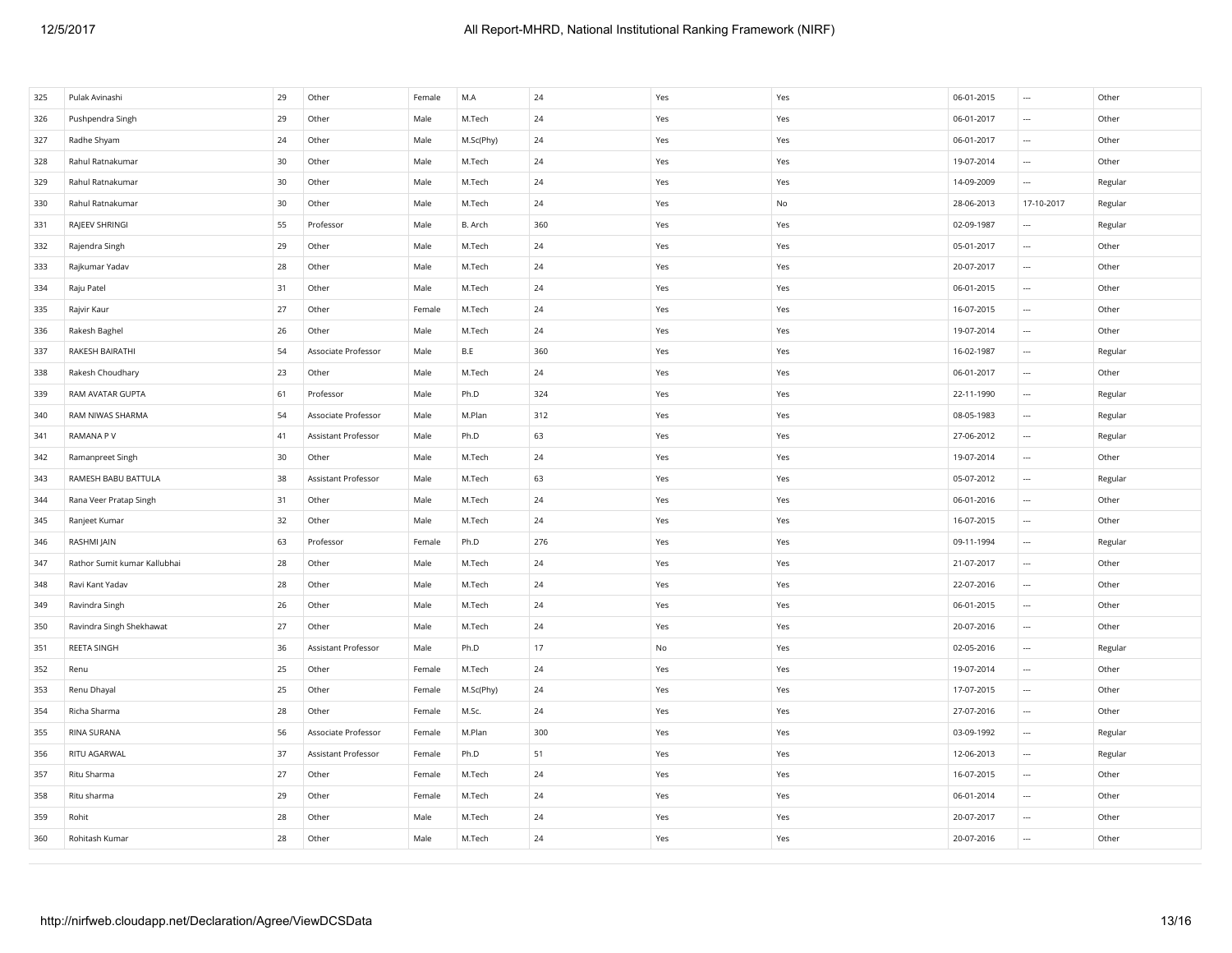| 325 | Pulak Avinashi               | 29 | Other               | Female | M.A       | 24  | Yes           | Yes | 06-01-2015 | $\overline{\phantom{a}}$ | Other   |
|-----|------------------------------|----|---------------------|--------|-----------|-----|---------------|-----|------------|--------------------------|---------|
| 326 | Pushpendra Singh             | 29 | Other               | Male   | M.Tech    | 24  | Yes           | Yes | 06-01-2017 | $\overline{\phantom{a}}$ | Other   |
| 327 | Radhe Shyam                  | 24 | Other               | Male   | M.Sc(Phy) | 24  | Yes           | Yes | 06-01-2017 | $\cdots$                 | Other   |
| 328 | Rahul Ratnakumar             | 30 | Other               | Male   | M.Tech    | 24  | Yes           | Yes | 19-07-2014 | $\ldots$                 | Other   |
| 329 | Rahul Ratnakumar             | 30 | Other               | Male   | M.Tech    | 24  | Yes           | Yes | 14-09-2009 | $\overline{\phantom{a}}$ | Regular |
| 330 | Rahul Ratnakumar             | 30 | Other               | Male   | M.Tech    | 24  | Yes           | No  | 28-06-2013 | 17-10-2017               | Regular |
| 331 | RAJEEV SHRINGI               | 55 | Professor           | Male   | B. Arch   | 360 | Yes           | Yes | 02-09-1987 | $\cdots$                 | Regular |
| 332 | Rajendra Singh               | 29 | Other               | Male   | M.Tech    | 24  | Yes           | Yes | 05-01-2017 | $\overline{\phantom{a}}$ | Other   |
| 333 | Rajkumar Yadav               | 28 | Other               | Male   | M.Tech    | 24  | Yes           | Yes | 20-07-2017 | $\overline{\phantom{a}}$ | Other   |
| 334 | Raju Patel                   | 31 | Other               | Male   | M.Tech    | 24  | Yes           | Yes | 06-01-2015 | $\ldots$                 | Other   |
| 335 | Rajvir Kaur                  | 27 | Other               | Female | M.Tech    | 24  | Yes           | Yes | 16-07-2015 | $\cdots$                 | Other   |
| 336 | Rakesh Baghel                | 26 | Other               | Male   | M.Tech    | 24  | Yes           | Yes | 19-07-2014 | $\ldots$                 | Other   |
| 337 | RAKESH BAIRATHI              | 54 | Associate Professor | Male   | B.E       | 360 | Yes           | Yes | 16-02-1987 | $\overline{\phantom{a}}$ | Regular |
| 338 | Rakesh Choudhary             | 23 | Other               | Male   | M.Tech    | 24  | Yes           | Yes | 06-01-2017 | $\cdots$                 | Other   |
| 339 | RAM AVATAR GUPTA             | 61 | Professor           | Male   | Ph.D      | 324 | Yes           | Yes | 22-11-1990 | $\cdots$                 | Regular |
| 340 | RAM NIWAS SHARMA             | 54 | Associate Professor | Male   | M.Plan    | 312 | Yes           | Yes | 08-05-1983 | $\overline{\phantom{a}}$ | Regular |
| 341 | RAMANA P V                   | 41 | Assistant Professor | Male   | Ph.D      | 63  | Yes           | Yes | 27-06-2012 | $\ldots$                 | Regular |
| 342 | Ramanpreet Singh             | 30 | Other               | Male   | M.Tech    | 24  | Yes           | Yes | 19-07-2014 | $\ldots$                 | Other   |
| 343 | RAMESH BABU BATTULA          | 38 | Assistant Professor | Male   | M.Tech    | 63  | Yes           | Yes | 05-07-2012 | $\ldots$                 | Regular |
| 344 | Rana Veer Pratap Singh       | 31 | Other               | Male   | M.Tech    | 24  | Yes           | Yes | 06-01-2016 | $\ldots$                 | Other   |
| 345 | Ranjeet Kumar                | 32 | Other               | Male   | M.Tech    | 24  | Yes           | Yes | 16-07-2015 | $\ldots$                 | Other   |
| 346 | RASHMI JAIN                  | 63 | Professor           | Female | Ph.D      | 276 | Yes           | Yes | 09-11-1994 | $\ldots$                 | Regular |
| 347 | Rathor Sumit kumar Kallubhai | 28 | Other               | Male   | M.Tech    | 24  | Yes           | Yes | 21-07-2017 | $\overline{\phantom{a}}$ | Other   |
| 348 | Ravi Kant Yadav              | 28 | Other               | Male   | M.Tech    | 24  | Yes           | Yes | 22-07-2016 | $\ldots$                 | Other   |
| 349 | Ravindra Singh               | 26 | Other               | Male   | M.Tech    | 24  | Yes           | Yes | 06-01-2015 | $\cdots$                 | Other   |
| 350 | Ravindra Singh Shekhawat     | 27 | Other               | Male   | M.Tech    | 24  | Yes           | Yes | 20-07-2016 | $\ldots$                 | Other   |
| 351 | REETA SINGH                  | 36 | Assistant Professor | Male   | Ph.D      | 17  | $\mathsf{No}$ | Yes | 02-05-2016 | $\overline{\phantom{a}}$ | Regular |
| 352 | Renu                         | 25 | Other               | Female | M.Tech    | 24  | Yes           | Yes | 19-07-2014 | $\cdots$                 | Other   |
| 353 | Renu Dhayal                  | 25 | Other               | Female | M.Sc(Phy) | 24  | Yes           | Yes | 17-07-2015 | $\cdots$                 | Other   |
| 354 | Richa Sharma                 | 28 | Other               | Female | M.Sc.     | 24  | Yes           | Yes | 27-07-2016 | $\ldots$                 | Other   |
| 355 | RINA SURANA                  | 56 | Associate Professor | Female | M.Plan    | 300 | Yes           | Yes | 03-09-1992 | $\overline{\phantom{a}}$ | Regular |
| 356 | RITU AGARWAL                 | 37 | Assistant Professor | Female | Ph.D      | 51  | Yes           | Yes | 12-06-2013 | $\cdots$                 | Regular |
| 357 | Ritu Sharma                  | 27 | Other               | Female | M.Tech    | 24  | Yes           | Yes | 16-07-2015 | $\cdots$                 | Other   |
| 358 | Ritu sharma                  | 29 | Other               | Female | M.Tech    | 24  | Yes           | Yes | 06-01-2014 | $\ldots$                 | Other   |
| 359 | Rohit                        | 28 | Other               | Male   | M.Tech    | 24  | Yes           | Yes | 20-07-2017 | $\overline{\phantom{a}}$ | Other   |
| 360 | Rohitash Kumar               | 28 | Other               | Male   | M.Tech    | 24  | Yes           | Yes | 20-07-2016 | $\overline{\phantom{a}}$ | Other   |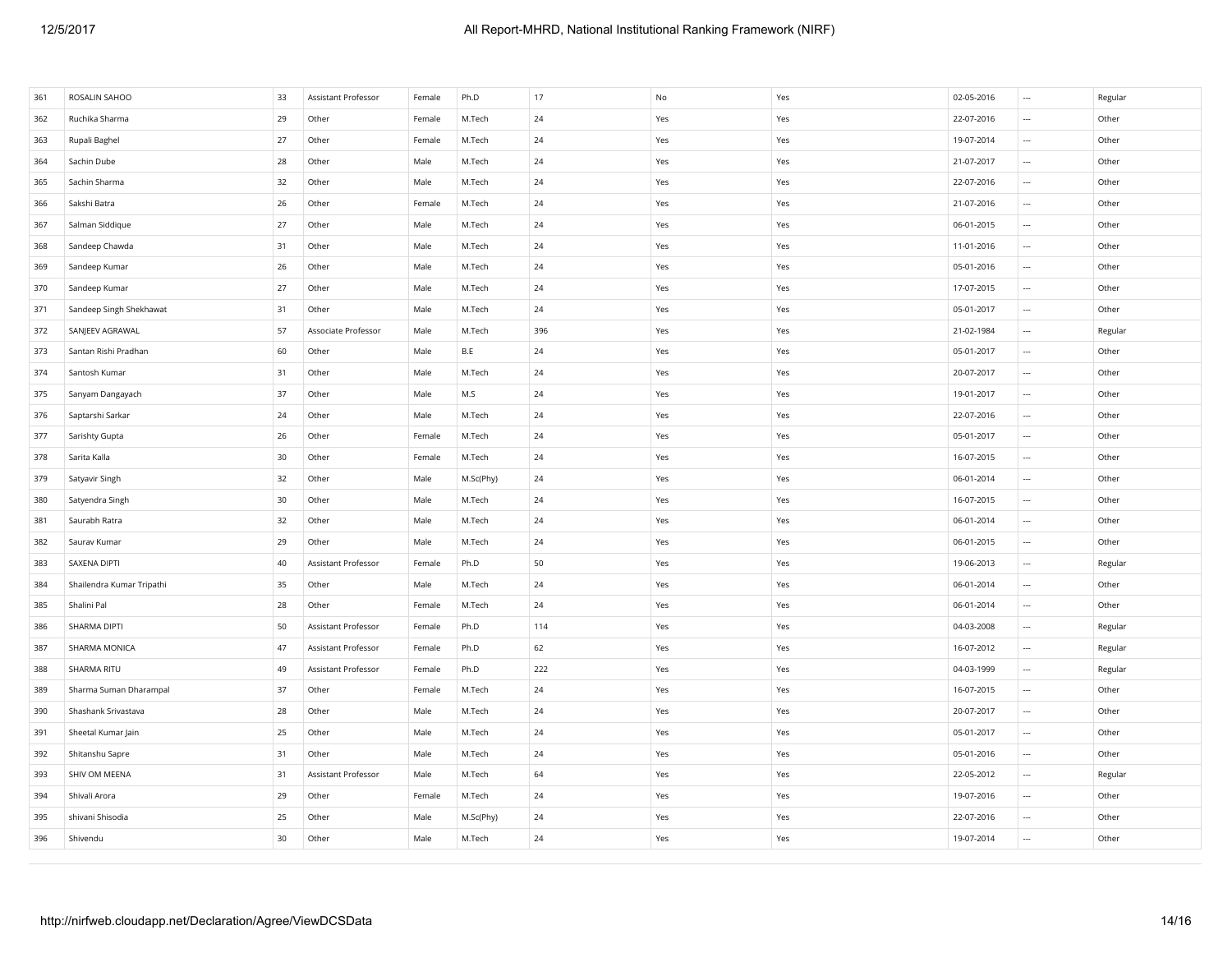| 361 | ROSALIN SAHOO             | 33              | Assistant Professor | Female | Ph.D      | 17  | No  | Yes | 02-05-2016 | $\cdots$                 | Regular |
|-----|---------------------------|-----------------|---------------------|--------|-----------|-----|-----|-----|------------|--------------------------|---------|
| 362 | Ruchika Sharma            | 29              | Other               | Female | M.Tech    | 24  | Yes | Yes | 22-07-2016 | $\cdots$                 | Other   |
| 363 | Rupali Baghel             | 27              | Other               | Female | M.Tech    | 24  | Yes | Yes | 19-07-2014 | $\ldots$                 | Other   |
| 364 | Sachin Dube               | 28              | Other               | Male   | M.Tech    | 24  | Yes | Yes | 21-07-2017 | $\ldots$                 | Other   |
| 365 | Sachin Sharma             | 32              | Other               | Male   | M.Tech    | 24  | Yes | Yes | 22-07-2016 | $\ldots$                 | Other   |
| 366 | Sakshi Batra              | 26              | Other               | Female | M.Tech    | 24  | Yes | Yes | 21-07-2016 | $\ldots$                 | Other   |
| 367 | Salman Siddique           | 27              | Other               | Male   | M.Tech    | 24  | Yes | Yes | 06-01-2015 | $\ldots$                 | Other   |
| 368 | Sandeep Chawda            | 31              | Other               | Male   | M.Tech    | 24  | Yes | Yes | 11-01-2016 | $\ldots$                 | Other   |
| 369 | Sandeep Kumar             | 26              | Other               | Male   | M.Tech    | 24  | Yes | Yes | 05-01-2016 | $\ldots$                 | Other   |
| 370 | Sandeep Kumar             | 27              | Other               | Male   | M.Tech    | 24  | Yes | Yes | 17-07-2015 | $\ldots$                 | Other   |
| 371 | Sandeep Singh Shekhawat   | 31              | Other               | Male   | M.Tech    | 24  | Yes | Yes | 05-01-2017 | $\ldots$                 | Other   |
| 372 | SANJEEV AGRAWAL           | 57              | Associate Professor | Male   | M.Tech    | 396 | Yes | Yes | 21-02-1984 | $\overline{\phantom{a}}$ | Regular |
| 373 | Santan Rishi Pradhan      | 60              | Other               | Male   | B.E       | 24  | Yes | Yes | 05-01-2017 | $\cdots$                 | Other   |
| 374 | Santosh Kumar             | 31              | Other               | Male   | M.Tech    | 24  | Yes | Yes | 20-07-2017 | $\ldots$                 | Other   |
| 375 | Sanyam Dangayach          | 37              | Other               | Male   | M.S       | 24  | Yes | Yes | 19-01-2017 | $\ldots$                 | Other   |
| 376 | Saptarshi Sarkar          | 24              | Other               | Male   | M.Tech    | 24  | Yes | Yes | 22-07-2016 | $\overline{\phantom{a}}$ | Other   |
| 377 | Sarishty Gupta            | 26              | Other               | Female | M.Tech    | 24  | Yes | Yes | 05-01-2017 | $\cdots$                 | Other   |
| 378 | Sarita Kalla              | 30              | Other               | Female | M.Tech    | 24  | Yes | Yes | 16-07-2015 | $\cdots$                 | Other   |
| 379 | Satyavir Singh            | 32              | Other               | Male   | M.Sc(Phy) | 24  | Yes | Yes | 06-01-2014 | $\ldots$                 | Other   |
| 380 | Satyendra Singh           | 30              | Other               | Male   | M.Tech    | 24  | Yes | Yes | 16-07-2015 | $\ldots$                 | Other   |
| 381 | Saurabh Ratra             | 32              | Other               | Male   | M.Tech    | 24  | Yes | Yes | 06-01-2014 | $\ldots$                 | Other   |
| 382 | Saurav Kumar              | 29              | Other               | Male   | M.Tech    | 24  | Yes | Yes | 06-01-2015 | $\ldots$                 | Other   |
| 383 | SAXENA DIPTI              | 40              | Assistant Professor | Female | Ph.D      | 50  | Yes | Yes | 19-06-2013 | $\ldots$                 | Regular |
| 384 | Shailendra Kumar Tripathi | 35              | Other               | Male   | M.Tech    | 24  | Yes | Yes | 06-01-2014 | $\ldots$                 | Other   |
| 385 | Shalini Pal               | 28              | Other               | Female | M.Tech    | 24  | Yes | Yes | 06-01-2014 | $\overline{\phantom{a}}$ | Other   |
| 386 | SHARMA DIPTI              | 50              | Assistant Professor | Female | Ph.D      | 114 | Yes | Yes | 04-03-2008 | $\cdots$                 | Regular |
| 387 | SHARMA MONICA             | 47              | Assistant Professor | Female | Ph.D      | 62  | Yes | Yes | 16-07-2012 | $\ldots$                 | Regular |
| 388 | SHARMA RITU               | 49              | Assistant Professor | Female | Ph.D      | 222 | Yes | Yes | 04-03-1999 | $\ldots$                 | Regular |
| 389 | Sharma Suman Dharampal    | 37              | Other               | Female | M.Tech    | 24  | Yes | Yes | 16-07-2015 | $\ldots$                 | Other   |
| 390 | Shashank Srivastava       | 28              | Other               | Male   | M.Tech    | 24  | Yes | Yes | 20-07-2017 | $\ldots$                 | Other   |
| 391 | Sheetal Kumar Jain        | 25              | Other               | Male   | M.Tech    | 24  | Yes | Yes | 05-01-2017 | $\ldots$                 | Other   |
| 392 | Shitanshu Sapre           | 31              | Other               | Male   | M.Tech    | 24  | Yes | Yes | 05-01-2016 | $\overline{\phantom{a}}$ | Other   |
| 393 | SHIV OM MEENA             | 31              | Assistant Professor | Male   | M.Tech    | 64  | Yes | Yes | 22-05-2012 | $\cdots$                 | Regular |
| 394 | Shivali Arora             | 29              | Other               | Female | M.Tech    | 24  | Yes | Yes | 19-07-2016 | $\cdots$                 | Other   |
| 395 | shivani Shisodia          | 25              | Other               | Male   | M.Sc(Phy) | 24  | Yes | Yes | 22-07-2016 | $\ldots$                 | Other   |
| 396 | Shivendu                  | 30 <sub>o</sub> | Other               | Male   | M.Tech    | 24  | Yes | Yes | 19-07-2014 | $\overline{\phantom{a}}$ | Other   |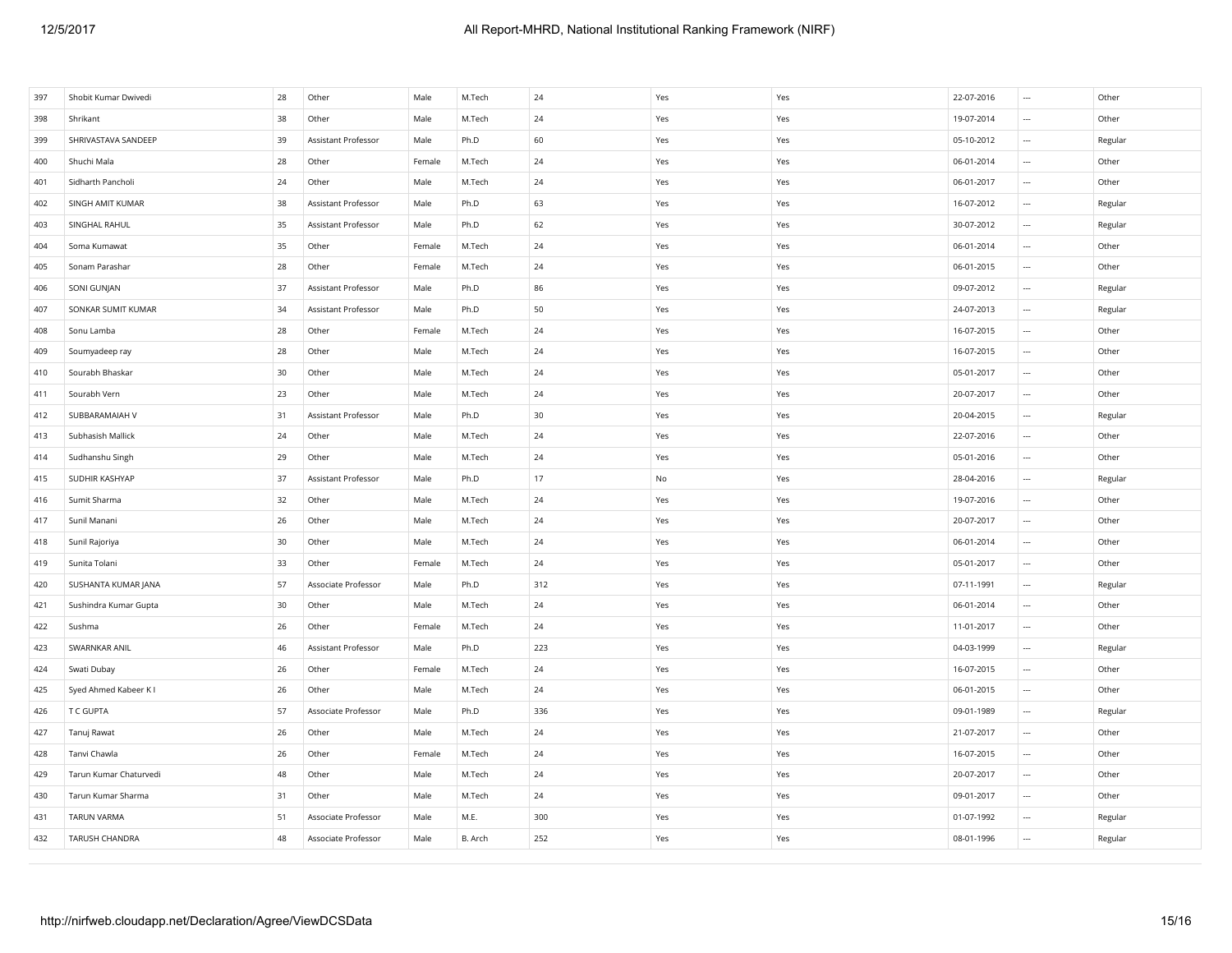| 397 | Shobit Kumar Dwivedi   | 28 | Other               | Male   | M.Tech  | 24  | Yes | Yes                           | 22-07-2016 | $\sim$                   | Other   |
|-----|------------------------|----|---------------------|--------|---------|-----|-----|-------------------------------|------------|--------------------------|---------|
| 398 | Shrikant               | 38 | Other               | Male   | M.Tech  | 24  | Yes | Yes                           | 19-07-2014 | $\sim$                   | Other   |
| 399 | SHRIVASTAVA SANDEEP    | 39 | Assistant Professor | Male   | Ph.D    | 60  | Yes | Yes                           | 05-10-2012 | $\cdots$                 | Regular |
| 400 | Shuchi Mala            | 28 | Other               | Female | M.Tech  | 24  | Yes | Yes                           | 06-01-2014 | $\overline{\phantom{a}}$ | Other   |
| 401 | Sidharth Pancholi      | 24 | Other               | Male   | M.Tech  | 24  | Yes | Yes                           | 06-01-2017 | $\overline{\phantom{a}}$ | Other   |
| 402 | SINGH AMIT KUMAR       | 38 | Assistant Professor | Male   | Ph.D    | 63  | Yes | Yes                           | 16-07-2012 | $\cdots$                 | Regular |
| 403 | SINGHAL RAHUL          | 35 | Assistant Professor | Male   | Ph.D    | 62  | Yes | Yes                           | 30-07-2012 | $\ldots$                 | Regular |
| 404 | Soma Kumawat           | 35 | Other               | Female | M.Tech  | 24  | Yes | Yes                           | 06-01-2014 | $\overline{\phantom{a}}$ | Other   |
| 405 | Sonam Parashar         | 28 | Other               | Female | M.Tech  | 24  | Yes | Yes                           | 06-01-2015 | $\overline{\phantom{a}}$ | Other   |
| 406 | SONI GUNJAN            | 37 | Assistant Professor | Male   | Ph.D    | 86  | Yes | Yes                           | 09-07-2012 | $\cdots$                 | Regular |
| 407 | SONKAR SUMIT KUMAR     | 34 | Assistant Professor | Male   | Ph.D    | 50  | Yes | Yes                           | 24-07-2013 | $\cdots$                 | Regular |
| 408 | Sonu Lamba             | 28 | Other               | Female | M.Tech  | 24  | Yes | Yes                           | 16-07-2015 | $\cdots$                 | Other   |
| 409 | Soumyadeep ray         | 28 | Other               | Male   | M.Tech  | 24  | Yes | Yes                           | 16-07-2015 | $\cdots$                 | Other   |
| 410 | Sourabh Bhaskar        | 30 | Other               | Male   | M.Tech  | 24  | Yes | Yes                           | 05-01-2017 | $\cdots$                 | Other   |
| 411 | Sourabh Vern           | 23 | Other               | Male   | M.Tech  | 24  | Yes | Yes                           | 20-07-2017 | $\overline{\phantom{a}}$ | Other   |
| 412 | SUBBARAMAIAH V         | 31 | Assistant Professor | Male   | Ph.D    | 30  | Yes | Yes                           | 20-04-2015 | $\cdots$                 | Regular |
| 413 | Subhasish Mallick      | 24 | Other               | Male   | M.Tech  | 24  | Yes | Yes                           | 22-07-2016 | $\cdots$                 | Other   |
| 414 | Sudhanshu Singh        | 29 | Other               | Male   | M.Tech  | 24  | Yes | Yes                           | 05-01-2016 | $\cdots$                 | Other   |
| 415 | SUDHIR KASHYAP         | 37 | Assistant Professor | Male   | Ph.D    | 17  | No  | Yes                           | 28-04-2016 | $\sim$                   | Regular |
| 416 | Sumit Sharma           | 32 | Other               | Male   | M.Tech  | 24  | Yes | $\operatorname{\mathsf{Yes}}$ | 19-07-2016 | $\cdots$                 | Other   |
| 417 | Sunil Manani           | 26 | Other               | Male   | M.Tech  | 24  | Yes | Yes                           | 20-07-2017 | $\cdots$                 | Other   |
| 418 | Sunil Rajoriya         | 30 | Other               | Male   | M.Tech  | 24  | Yes | Yes                           | 06-01-2014 | $\ldots$                 | Other   |
| 419 | Sunita Tolani          | 33 | Other               | Female | M.Tech  | 24  | Yes | Yes                           | 05-01-2017 | $\sim$                   | Other   |
| 420 | SUSHANTA KUMAR JANA    | 57 | Associate Professor | Male   | Ph.D    | 312 | Yes | Yes                           | 07-11-1991 | $\sim$                   | Regular |
| 421 | Sushindra Kumar Gupta  | 30 | Other               | Male   | M.Tech  | 24  | Yes | Yes                           | 06-01-2014 | $\sim$                   | Other   |
| 422 | Sushma                 | 26 | Other               | Female | M.Tech  | 24  | Yes | Yes                           | 11-01-2017 | $\cdots$                 | Other   |
| 423 | SWARNKAR ANIL          | 46 | Assistant Professor | Male   | Ph.D    | 223 | Yes | Yes                           | 04-03-1999 | $\cdots$                 | Regular |
| 424 | Swati Dubay            | 26 | Other               | Female | M.Tech  | 24  | Yes | Yes                           | 16-07-2015 | $\cdots$                 | Other   |
| 425 | Syed Ahmed Kabeer K I  | 26 | Other               | Male   | M.Tech  | 24  | Yes | Yes                           | 06-01-2015 | $\cdots$                 | Other   |
| 426 | T C GUPTA              | 57 | Associate Professor | Male   | Ph.D    | 336 | Yes | Yes                           | 09-01-1989 | $\overline{\phantom{a}}$ | Regular |
| 427 | Tanuj Rawat            | 26 | Other               | Male   | M.Tech  | 24  | Yes | Yes                           | 21-07-2017 | $\cdots$                 | Other   |
| 428 | Tanvi Chawla           | 26 | Other               | Female | M.Tech  | 24  | Yes | Yes                           | 16-07-2015 | $\cdots$                 | Other   |
| 429 | Tarun Kumar Chaturvedi | 48 | Other               | Male   | M.Tech  | 24  | Yes | Yes                           | 20-07-2017 | $\cdots$                 | Other   |
| 430 | Tarun Kumar Sharma     | 31 | Other               | Male   | M.Tech  | 24  | Yes | Yes                           | 09-01-2017 | $\overline{\phantom{a}}$ | Other   |
| 431 | <b>TARUN VARMA</b>     | 51 | Associate Professor | Male   | M.E.    | 300 | Yes | Yes                           | 01-07-1992 | $\sim$                   | Regular |
| 432 | TARUSH CHANDRA         | 48 | Associate Professor | Male   | B. Arch | 252 | Yes | Yes                           | 08-01-1996 | $\cdots$                 | Regular |
|     |                        |    |                     |        |         |     |     |                               |            |                          |         |